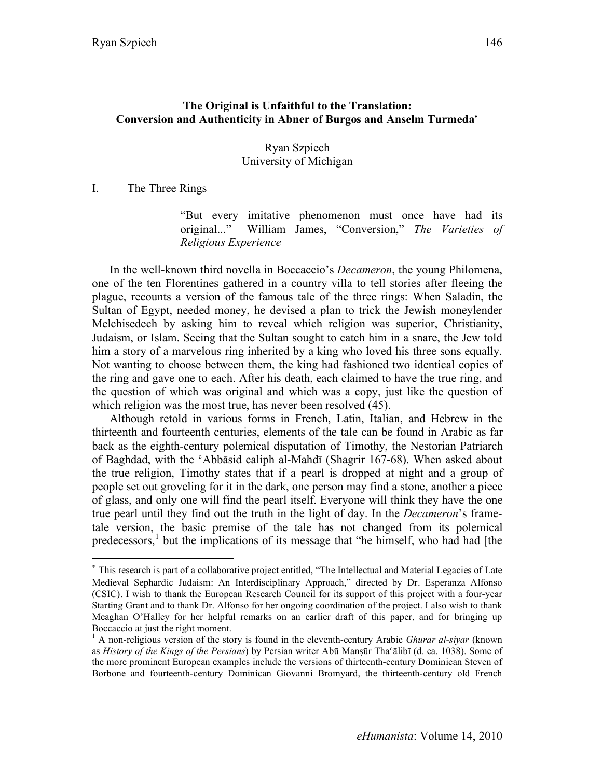## **The Original is Unfaithful to the Translation: Conversion and Authenticity in Abner of Burgos and Anselm Turmeda**<sup>∗</sup>

#### Ryan Szpiech University of Michigan

I. The Three Rings

 $\overline{a}$ 

"But every imitative phenomenon must once have had its original..." –William James, "Conversion," *The Varieties of Religious Experience*

In the well-known third novella in Boccaccio's *Decameron*, the young Philomena, one of the ten Florentines gathered in a country villa to tell stories after fleeing the plague, recounts a version of the famous tale of the three rings: When Saladin, the Sultan of Egypt, needed money, he devised a plan to trick the Jewish moneylender Melchisedech by asking him to reveal which religion was superior, Christianity, Judaism, or Islam. Seeing that the Sultan sought to catch him in a snare, the Jew told him a story of a marvelous ring inherited by a king who loved his three sons equally. Not wanting to choose between them, the king had fashioned two identical copies of the ring and gave one to each. After his death, each claimed to have the true ring, and the question of which was original and which was a copy, just like the question of which religion was the most true, has never been resolved (45).

Although retold in various forms in French, Latin, Italian, and Hebrew in the thirteenth and fourteenth centuries, elements of the tale can be found in Arabic as far back as the eighth-century polemical disputation of Timothy, the Nestorian Patriarch of Baghdad, with the ʿAbbāsid caliph al-Mahdī (Shagrir 167-68). When asked about the true religion, Timothy states that if a pearl is dropped at night and a group of people set out groveling for it in the dark, one person may find a stone, another a piece of glass, and only one will find the pearl itself. Everyone will think they have the one true pearl until they find out the truth in the light of day. In the *Decameron*'s frametale version, the basic premise of the tale has not changed from its polemical predecessors,<sup>1</sup> but the implications of its message that "he himself, who had had [the

<sup>∗</sup> This research is part of a collaborative project entitled, "The Intellectual and Material Legacies of Late Medieval Sephardic Judaism: An Interdisciplinary Approach," directed by Dr. Esperanza Alfonso (CSIC). I wish to thank the European Research Council for its support of this project with a four-year Starting Grant and to thank Dr. Alfonso for her ongoing coordination of the project. I also wish to thank Meaghan O'Halley for her helpful remarks on an earlier draft of this paper, and for bringing up Boccaccio at just the right moment.

<sup>&</sup>lt;sup>1</sup> A non-religious version of the story is found in the eleventh-century Arabic *Ghurar al-siyar* (known as *History of the Kings of the Persians*) by Persian writer Abū Mansūr Tha°ālibī (d. ca. 1038). Some of the more prominent European examples include the versions of thirteenth-century Dominican Steven of Borbone and fourteenth-century Dominican Giovanni Bromyard, the thirteenth-century old French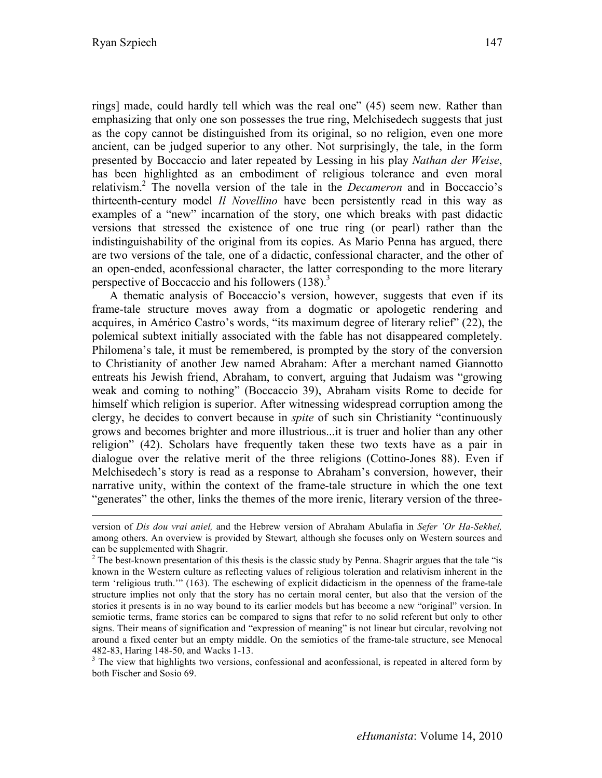rings] made, could hardly tell which was the real one" (45) seem new. Rather than emphasizing that only one son possesses the true ring, Melchisedech suggests that just as the copy cannot be distinguished from its original, so no religion, even one more ancient, can be judged superior to any other. Not surprisingly, the tale, in the form presented by Boccaccio and later repeated by Lessing in his play *Nathan der Weise*, has been highlighted as an embodiment of religious tolerance and even moral relativism.2 The novella version of the tale in the *Decameron* and in Boccaccio's thirteenth-century model *Il Novellino* have been persistently read in this way as examples of a "new" incarnation of the story, one which breaks with past didactic versions that stressed the existence of one true ring (or pearl) rather than the indistinguishability of the original from its copies. As Mario Penna has argued, there are two versions of the tale, one of a didactic, confessional character, and the other of an open-ended, aconfessional character, the latter corresponding to the more literary perspective of Boccaccio and his followers  $(138)^3$ 

A thematic analysis of Boccaccio's version, however, suggests that even if its frame-tale structure moves away from a dogmatic or apologetic rendering and acquires, in Américo Castro's words, "its maximum degree of literary relief" (22), the polemical subtext initially associated with the fable has not disappeared completely. Philomena's tale, it must be remembered, is prompted by the story of the conversion to Christianity of another Jew named Abraham: After a merchant named Giannotto entreats his Jewish friend, Abraham, to convert, arguing that Judaism was "growing weak and coming to nothing" (Boccaccio 39), Abraham visits Rome to decide for himself which religion is superior. After witnessing widespread corruption among the clergy, he decides to convert because in *spite* of such sin Christianity "continuously grows and becomes brighter and more illustrious...it is truer and holier than any other religion" (42). Scholars have frequently taken these two texts have as a pair in dialogue over the relative merit of the three religions (Cottino-Jones 88). Even if Melchisedech's story is read as a response to Abraham's conversion, however, their narrative unity, within the context of the frame-tale structure in which the one text "generates" the other, links the themes of the more irenic, literary version of the three-

482-83, Haring 148-50, and Wacks 1-13.<br> $3$  The view that highlights two versions, confessional and aconfessional, is repeated in altered form by both Fischer and Sosio 69.

version of *Dis dou vrai aniel,* and the Hebrew version of Abraham Abulafia in *Sefer 'Or Ha-Sekhel,*  among others. An overview is provided by Stewart*,* although she focuses only on Western sources and can be supplemented with Shagrir.

 $2^2$  The best-known presentation of this thesis is the classic study by Penna. Shagrir argues that the tale "is known in the Western culture as reflecting values of religious toleration and relativism inherent in the term 'religious truth.'" (163). The eschewing of explicit didacticism in the openness of the frame-tale structure implies not only that the story has no certain moral center, but also that the version of the stories it presents is in no way bound to its earlier models but has become a new "original" version. In semiotic terms, frame stories can be compared to signs that refer to no solid referent but only to other signs. Their means of signification and "expression of meaning" is not linear but circular, revolving not around a fixed center but an empty middle. On the semiotics of the frame-tale structure, see Menocal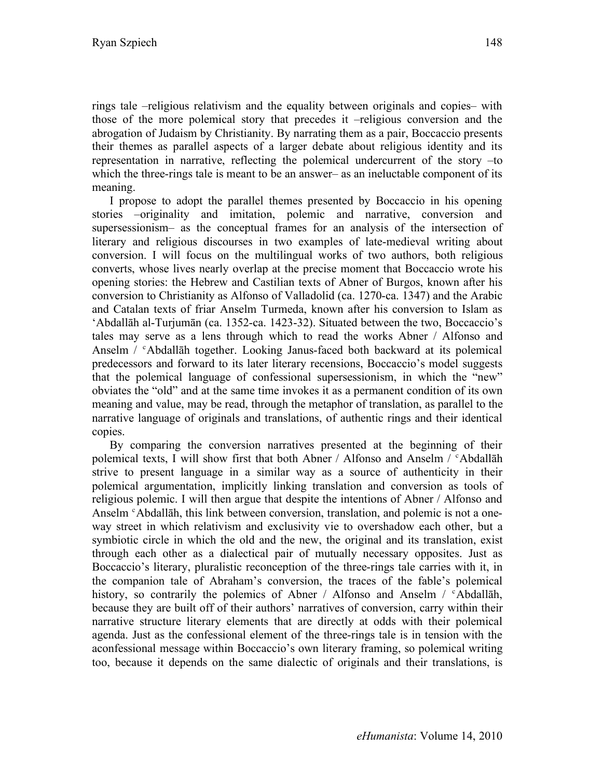rings tale –religious relativism and the equality between originals and copies– with those of the more polemical story that precedes it –religious conversion and the abrogation of Judaism by Christianity. By narrating them as a pair, Boccaccio presents their themes as parallel aspects of a larger debate about religious identity and its representation in narrative, reflecting the polemical undercurrent of the story –to which the three-rings tale is meant to be an answer– as an ineluctable component of its meaning.

I propose to adopt the parallel themes presented by Boccaccio in his opening stories –originality and imitation, polemic and narrative, conversion and supersessionism– as the conceptual frames for an analysis of the intersection of literary and religious discourses in two examples of late-medieval writing about conversion. I will focus on the multilingual works of two authors, both religious converts, whose lives nearly overlap at the precise moment that Boccaccio wrote his opening stories: the Hebrew and Castilian texts of Abner of Burgos, known after his conversion to Christianity as Alfonso of Valladolid (ca. 1270-ca. 1347) and the Arabic and Catalan texts of friar Anselm Turmeda, known after his conversion to Islam as 'Abdallāh al-Turjumān (ca. 1352-ca. 1423-32). Situated between the two, Boccaccio's tales may serve as a lens through which to read the works Abner / Alfonso and Anselm / ʿAbdallāh together. Looking Janus-faced both backward at its polemical predecessors and forward to its later literary recensions, Boccaccio's model suggests that the polemical language of confessional supersessionism, in which the "new" obviates the "old" and at the same time invokes it as a permanent condition of its own meaning and value, may be read, through the metaphor of translation, as parallel to the narrative language of originals and translations, of authentic rings and their identical copies.

By comparing the conversion narratives presented at the beginning of their polemical texts, I will show first that both Abner / Alfonso and Anselm / ʿAbdallāh strive to present language in a similar way as a source of authenticity in their polemical argumentation, implicitly linking translation and conversion as tools of religious polemic. I will then argue that despite the intentions of Abner / Alfonso and Anselm <sup>c</sup>Abdallāh, this link between conversion, translation, and polemic is not a oneway street in which relativism and exclusivity vie to overshadow each other, but a symbiotic circle in which the old and the new, the original and its translation, exist through each other as a dialectical pair of mutually necessary opposites. Just as Boccaccio's literary, pluralistic reconception of the three-rings tale carries with it, in the companion tale of Abraham's conversion, the traces of the fable's polemical history, so contrarily the polemics of Abner / Alfonso and Anselm / <sup>c</sup>Abdallah, because they are built off of their authors' narratives of conversion, carry within their narrative structure literary elements that are directly at odds with their polemical agenda. Just as the confessional element of the three-rings tale is in tension with the aconfessional message within Boccaccio's own literary framing, so polemical writing too, because it depends on the same dialectic of originals and their translations, is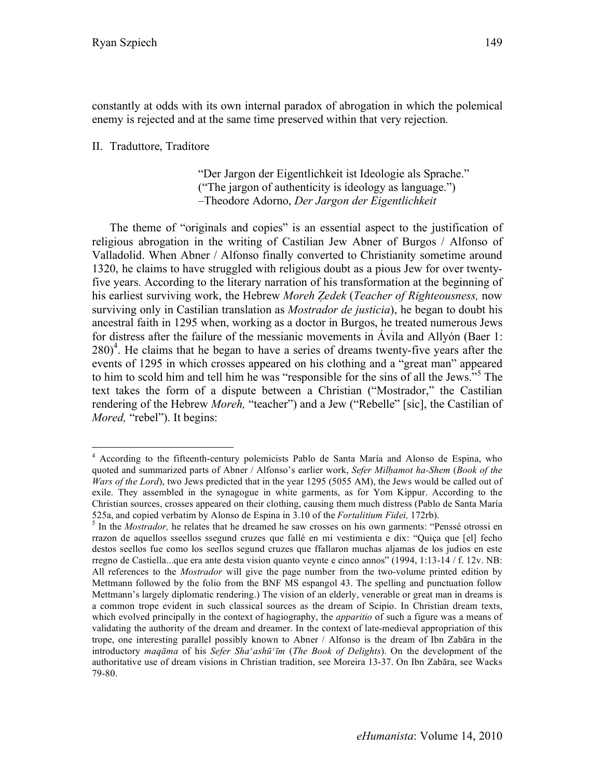constantly at odds with its own internal paradox of abrogation in which the polemical enemy is rejected and at the same time preserved within that very rejection.

### II. Traduttore, Traditore

"Der Jargon der Eigentlichkeit ist Ideologie als Sprache." ("The jargon of authenticity is ideology as language.") –Theodore Adorno, *Der Jargon der Eigentlichkeit*

The theme of "originals and copies" is an essential aspect to the justification of religious abrogation in the writing of Castilian Jew Abner of Burgos / Alfonso of Valladolid. When Abner / Alfonso finally converted to Christianity sometime around 1320, he claims to have struggled with religious doubt as a pious Jew for over twentyfive years. According to the literary narration of his transformation at the beginning of his earliest surviving work, the Hebrew *Moreh Ẓedek* (*Teacher of Righteousness,* now surviving only in Castilian translation as *Mostrador de justicia*), he began to doubt his ancestral faith in 1295 when, working as a doctor in Burgos, he treated numerous Jews for distress after the failure of the messianic movements in Ávila and Allyón (Baer 1:  $280)$ <sup>4</sup>. He claims that he began to have a series of dreams twenty-five years after the events of 1295 in which crosses appeared on his clothing and a "great man" appeared to him to scold him and tell him he was "responsible for the sins of all the Jews."<sup>5</sup> The text takes the form of a dispute between a Christian ("Mostrador," the Castilian rendering of the Hebrew *Moreh,* "teacher") and a Jew ("Rebelle" [sic], the Castilian of *Mored,* "rebel"). It begins:

 <sup>4</sup> According to the fifteenth-century polemicists Pablo de Santa María and Alonso de Espina, who quoted and summarized parts of Abner / Alfonso's earlier work, *Sefer Milḥamot ha-Shem* (*Book of the Wars of the Lord*), two Jews predicted that in the year 1295 (5055 AM), the Jews would be called out of exile. They assembled in the synagogue in white garments, as for Yom Kippur. According to the Christian sources, crosses appeared on their clothing, causing them much distress (Pablo de Santa María 525a, and copied verbatim by Alonso de Espina in 3.10 of the *Fortalitium Fidei,* 172rb). <sup>5</sup> In the *Mostrador,* he relates that he dreamed he saw crosses on his own garments: "Penssé otrossi en

rrazon de aquellos sseellos ssegund cruzes que fallé en mi vestimienta e dix: "Quiça que [el] fecho destos seellos fue como los seellos segund cruzes que ffallaron muchas aljamas de los judios en este rregno de Castiella...que era ante desta vision quanto veynte e cinco annos" (1994, 1:13-14 / f. 12v. NB: All references to the *Mostrador* will give the page number from the two-volume printed edition by Mettmann followed by the folio from the BNF MS espangol 43. The spelling and punctuation follow Mettmann's largely diplomatic rendering.) The vision of an elderly, venerable or great man in dreams is a common trope evident in such classical sources as the dream of Scipio. In Christian dream texts, which evolved principally in the context of hagiography, the *apparitio* of such a figure was a means of validating the authority of the dream and dreamer. In the context of late-medieval appropriation of this trope, one interesting parallel possibly known to Abner / Alfonso is the dream of Ibn Zabāra in the introductory *maqāma* of his *Sefer Shaʿashūʿīm* (*The Book of Delights*). On the development of the authoritative use of dream visions in Christian tradition, see Moreira 13-37. On Ibn Zabāra, see Wacks 79-80.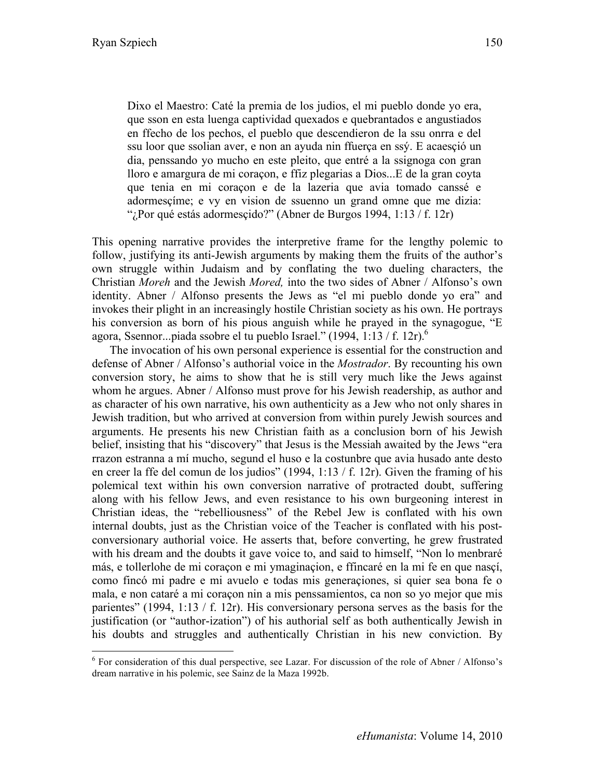Dixo el Maestro: Caté la premia de los judios, el mi pueblo donde yo era, que sson en esta luenga captividad quexados e quebrantados e angustiados en ffecho de los pechos, el pueblo que descendieron de la ssu onrra e del ssu loor que ssolian aver, e non an ayuda nin ffuerça en ssý. E acaesçió un dia, penssando yo mucho en este pleito, que entré a la ssignoga con gran lloro e amargura de mi coraçon, e ffiz plegarias a Dios...E de la gran coyta que tenia en mi coraçon e de la lazeria que avia tomado canssé e adormesçíme; e vy en vision de ssuenno un grand omne que me dizia: "; Por qué estás adormesçido?" (Abner de Burgos 1994, 1:13 / f. 12r)

This opening narrative provides the interpretive frame for the lengthy polemic to follow, justifying its anti-Jewish arguments by making them the fruits of the author's own struggle within Judaism and by conflating the two dueling characters, the Christian *Moreh* and the Jewish *Mored,* into the two sides of Abner / Alfonso's own identity. Abner / Alfonso presents the Jews as "el mi pueblo donde yo era" and invokes their plight in an increasingly hostile Christian society as his own. He portrays his conversion as born of his pious anguish while he prayed in the synagogue, "E agora, Ssennor...piada ssobre el tu pueblo Israel." (1994, 1:13 / f. 12r).<sup>6</sup>

The invocation of his own personal experience is essential for the construction and defense of Abner / Alfonso's authorial voice in the *Mostrador*. By recounting his own conversion story, he aims to show that he is still very much like the Jews against whom he argues. Abner / Alfonso must prove for his Jewish readership, as author and as character of his own narrative, his own authenticity as a Jew who not only shares in Jewish tradition, but who arrived at conversion from within purely Jewish sources and arguments. He presents his new Christian faith as a conclusion born of his Jewish belief, insisting that his "discovery" that Jesus is the Messiah awaited by the Jews "era rrazon estranna a mí mucho, segund el huso e la costunbre que avia husado ante desto en creer la ffe del comun de los judios" (1994, 1:13 / f. 12r). Given the framing of his polemical text within his own conversion narrative of protracted doubt, suffering along with his fellow Jews, and even resistance to his own burgeoning interest in Christian ideas, the "rebelliousness" of the Rebel Jew is conflated with his own internal doubts, just as the Christian voice of the Teacher is conflated with his postconversionary authorial voice. He asserts that, before converting, he grew frustrated with his dream and the doubts it gave voice to, and said to himself, "Non lo menbraré más, e tollerlohe de mi coraçon e mi ymaginaçion, e ffincaré en la mi fe en que nasçí, como fincó mi padre e mi avuelo e todas mis generaçiones, si quier sea bona fe o mala, e non cataré a mi coraçon nin a mis penssamientos, ca non so yo mejor que mis parientes" (1994, 1:13 / f. 12r). His conversionary persona serves as the basis for the justification (or "author-ization") of his authorial self as both authentically Jewish in his doubts and struggles and authentically Christian in his new conviction. By

 <sup>6</sup>  $6$  For consideration of this dual perspective, see Lazar. For discussion of the role of Abner / Alfonso's dream narrative in his polemic, see Sainz de la Maza 1992b.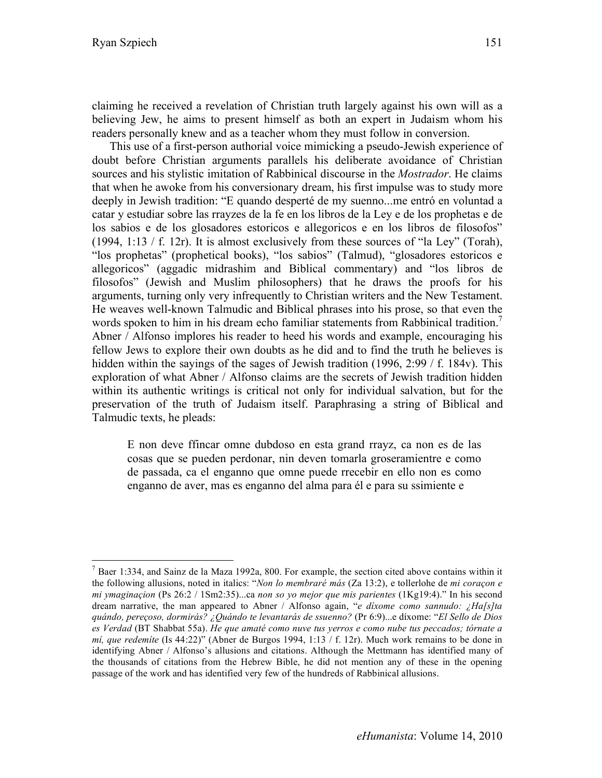claiming he received a revelation of Christian truth largely against his own will as a believing Jew, he aims to present himself as both an expert in Judaism whom his readers personally knew and as a teacher whom they must follow in conversion.

This use of a first-person authorial voice mimicking a pseudo-Jewish experience of doubt before Christian arguments parallels his deliberate avoidance of Christian sources and his stylistic imitation of Rabbinical discourse in the *Mostrador*. He claims that when he awoke from his conversionary dream, his first impulse was to study more deeply in Jewish tradition: "E quando desperté de my suenno...me entró en voluntad a catar y estudiar sobre las rrayzes de la fe en los libros de la Ley e de los prophetas e de los sabios e de los glosadores estoricos e allegoricos e en los libros de filosofos" (1994, 1:13 / f. 12r). It is almost exclusively from these sources of "la Ley" (Torah), "los prophetas" (prophetical books), "los sabios" (Talmud), "glosadores estoricos e allegoricos" (aggadic midrashim and Biblical commentary) and "los libros de filosofos" (Jewish and Muslim philosophers) that he draws the proofs for his arguments, turning only very infrequently to Christian writers and the New Testament. He weaves well-known Talmudic and Biblical phrases into his prose, so that even the words spoken to him in his dream echo familiar statements from Rabbinical tradition.<sup>7</sup> Abner / Alfonso implores his reader to heed his words and example, encouraging his fellow Jews to explore their own doubts as he did and to find the truth he believes is hidden within the sayings of the sages of Jewish tradition (1996, 2:99 / f. 184v). This exploration of what Abner / Alfonso claims are the secrets of Jewish tradition hidden within its authentic writings is critical not only for individual salvation, but for the preservation of the truth of Judaism itself. Paraphrasing a string of Biblical and Talmudic texts, he pleads:

E non deve ffincar omne dubdoso en esta grand rrayz, ca non es de las cosas que se pueden perdonar, nin deven tomarla groseramientre e como de passada, ca el enganno que omne puede rrecebir en ello non es como enganno de aver, mas es enganno del alma para él e para su ssimiente e

 <sup>7</sup>  $<sup>7</sup>$  Baer 1:334, and Sainz de la Maza 1992a, 800. For example, the section cited above contains within it</sup> the following allusions, noted in italics: "*Non lo membraré más* (Za 13:2), e tollerlohe de *mi coraçon e mi ymaginaçion* (Ps 26:2 / 1Sm2:35)...ca *non so yo mejor que mis parientes* (1Kg19:4)." In his second dream narrative, the man appeared to Abner / Alfonso again, "*e díxome como sannudo: ¿Ha[s]ta quándo, pereçoso, dormirás? ¿Quándo te levantarás de ssuenno?* (Pr 6:9)...e díxome: "*El Sello de Dios es Verdad* (BT Shabbat 55a). *He que amaté como nuve tus yerros e como nube tus peccados; tórnate a mí, que redemíte* (Is 44:22)" (Abner de Burgos 1994, 1:13 / f. 12r). Much work remains to be done in identifying Abner / Alfonso's allusions and citations. Although the Mettmann has identified many of the thousands of citations from the Hebrew Bible, he did not mention any of these in the opening passage of the work and has identified very few of the hundreds of Rabbinical allusions.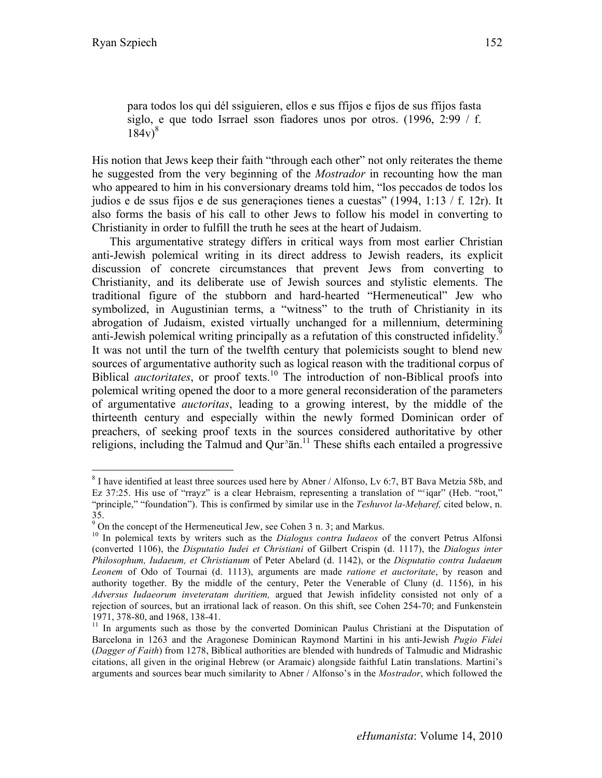para todos los qui dél ssiguieren, ellos e sus ffijos e fijos de sus ffijos fasta siglo, e que todo Isrrael sson fiadores unos por otros. (1996, 2:99 / f.  $184v<sup>8</sup>$ 

His notion that Jews keep their faith "through each other" not only reiterates the theme he suggested from the very beginning of the *Mostrador* in recounting how the man who appeared to him in his conversionary dreams told him, "los peccados de todos los judios e de ssus fijos e de sus generaçiones tienes a cuestas" (1994, 1:13 / f. 12r). It also forms the basis of his call to other Jews to follow his model in converting to Christianity in order to fulfill the truth he sees at the heart of Judaism.

This argumentative strategy differs in critical ways from most earlier Christian anti-Jewish polemical writing in its direct address to Jewish readers, its explicit discussion of concrete circumstances that prevent Jews from converting to Christianity, and its deliberate use of Jewish sources and stylistic elements. The traditional figure of the stubborn and hard-hearted "Hermeneutical" Jew who symbolized, in Augustinian terms, a "witness" to the truth of Christianity in its abrogation of Judaism, existed virtually unchanged for a millennium, determining anti-Jewish polemical writing principally as a refutation of this constructed infidelity.<sup>9</sup> It was not until the turn of the twelfth century that polemicists sought to blend new sources of argumentative authority such as logical reason with the traditional corpus of Biblical *auctoritates*, or proof texts.<sup>10</sup> The introduction of non-Biblical proofs into polemical writing opened the door to a more general reconsideration of the parameters of argumentative *auctoritas*, leading to a growing interest, by the middle of the thirteenth century and especially within the newly formed Dominican order of preachers, of seeking proof texts in the sources considered authoritative by other religions, including the Talmud and Qur $^3$ ān.<sup>11</sup> These shifts each entailed a progressive

 <sup>8</sup>  $8$  I have identified at least three sources used here by Abner / Alfonso, Lv 6:7, BT Bava Metzia 58b, and Ez 37:25. His use of "rrayz" is a clear Hebraism, representing a translation of "cigar" (Heb. "root," "principle," "foundation"). This is confirmed by similar use in the *Teshuvot la-Meharef*, cited below, n. 35.

 $9$  On the concept of the Hermeneutical Jew, see Cohen 3 n. 3; and Markus.

<sup>&</sup>lt;sup>10</sup> In polemical texts by writers such as the *Dialogus contra Iudaeos* of the convert Petrus Alfonsi (converted 1106), the *Disputatio Iudei et Christiani* of Gilbert Crispin (d. 1117), the *Dialogus inter Philosophum, Iudaeum, et Christianum* of Peter Abelard (d. 1142), or the *Disputatio contra Iudaeum Leonem* of Odo of Tournai (d. 1113), arguments are made *ratione et auctoritate*, by reason and authority together. By the middle of the century, Peter the Venerable of Cluny (d. 1156), in his *Adversus Iudaeorum inveteratam duritiem,* argued that Jewish infidelity consisted not only of a rejection of sources, but an irrational lack of reason. On this shift, see Cohen 254-70; and Funkenstein 1971, 378-80, and 1968, 138-41.<br><sup>11</sup> In arguments such as those by the converted Dominican Paulus Christiani at the Disputation of

Barcelona in 1263 and the Aragonese Dominican Raymond Martini in his anti-Jewish *Pugio Fidei* (*Dagger of Faith*) from 1278, Biblical authorities are blended with hundreds of Talmudic and Midrashic citations, all given in the original Hebrew (or Aramaic) alongside faithful Latin translations. Martini's arguments and sources bear much similarity to Abner / Alfonso's in the *Mostrador*, which followed the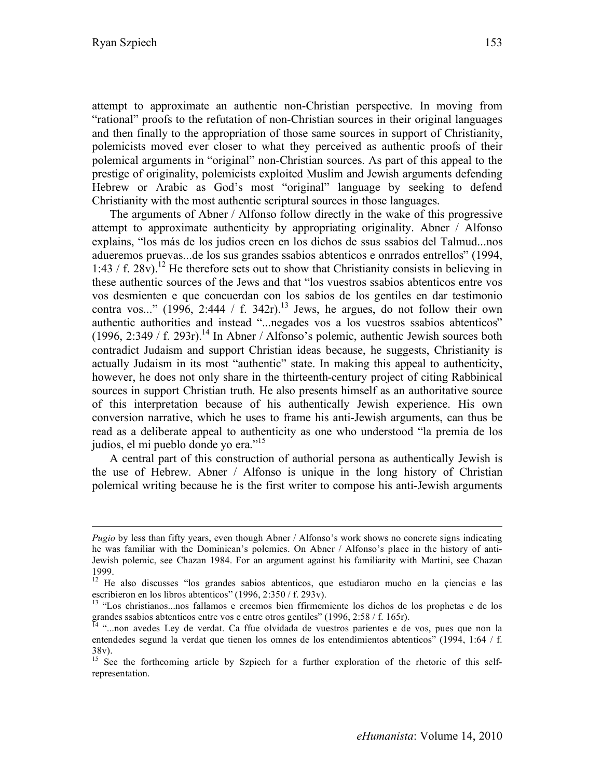$\overline{a}$ 

attempt to approximate an authentic non-Christian perspective. In moving from "rational" proofs to the refutation of non-Christian sources in their original languages and then finally to the appropriation of those same sources in support of Christianity, polemicists moved ever closer to what they perceived as authentic proofs of their polemical arguments in "original" non-Christian sources. As part of this appeal to the prestige of originality, polemicists exploited Muslim and Jewish arguments defending Hebrew or Arabic as God's most "original" language by seeking to defend Christianity with the most authentic scriptural sources in those languages.

The arguments of Abner / Alfonso follow directly in the wake of this progressive attempt to approximate authenticity by appropriating originality. Abner / Alfonso explains, "los más de los judios creen en los dichos de ssus ssabios del Talmud...nos adueremos pruevas...de los sus grandes ssabios abtenticos e onrrados entrellos" (1994, 1:43 / f. 28v).<sup>12</sup> He therefore sets out to show that Christianity consists in believing in these authentic sources of the Jews and that "los vuestros ssabios abtenticos entre vos vos desmienten e que concuerdan con los sabios de los gentiles en dar testimonio contra vos..." (1996, 2:444 / f. 342r).<sup>13</sup> Jews, he argues, do not follow their own authentic authorities and instead "...negades vos a los vuestros ssabios abtenticos" (1996, 2:349 / f. 293r).<sup>14</sup> In Abner / Alfonso's polemic, authentic Jewish sources both contradict Judaism and support Christian ideas because, he suggests, Christianity is actually Judaism in its most "authentic" state. In making this appeal to authenticity, however, he does not only share in the thirteenth-century project of citing Rabbinical sources in support Christian truth. He also presents himself as an authoritative source of this interpretation because of his authentically Jewish experience. His own conversion narrative, which he uses to frame his anti-Jewish arguments, can thus be read as a deliberate appeal to authenticity as one who understood "la premia de los judios, el mi pueblo donde yo era."<sup>15</sup>

A central part of this construction of authorial persona as authentically Jewish is the use of Hebrew. Abner / Alfonso is unique in the long history of Christian polemical writing because he is the first writer to compose his anti-Jewish arguments

*Pugio* by less than fifty years, even though Abner / Alfonso's work shows no concrete signs indicating he was familiar with the Dominican's polemics. On Abner / Alfonso's place in the history of anti-Jewish polemic, see Chazan 1984. For an argument against his familiarity with Martini, see Chazan 1999.

<sup>&</sup>lt;sup>12</sup> He also discusses "los grandes sabios abtenticos, que estudiaron mucho en la çiencias e las

escribieron en los libros abtenticos" (1996, 2:350 / f. 293v).<br><sup>13</sup> "Los christianos...nos fallamos e creemos bien ffirmemiente los dichos de los prophetas e de los grandes ssabios abtenticos entre vos e entre otros gentiles" (1996, 2:58 / f. 165r).<br><sup>14</sup> "...non avedes Ley de verdat. Ca ffue olvidada de vuestros parientes e de vos, pues que non la

entendedes segund la verdat que tienen los omnes de los entendimientos abtenticos" (1994, 1:64 / f. 38v).

<sup>&</sup>lt;sup>15</sup> See the forthcoming article by Szpiech for a further exploration of the rhetoric of this selfrepresentation.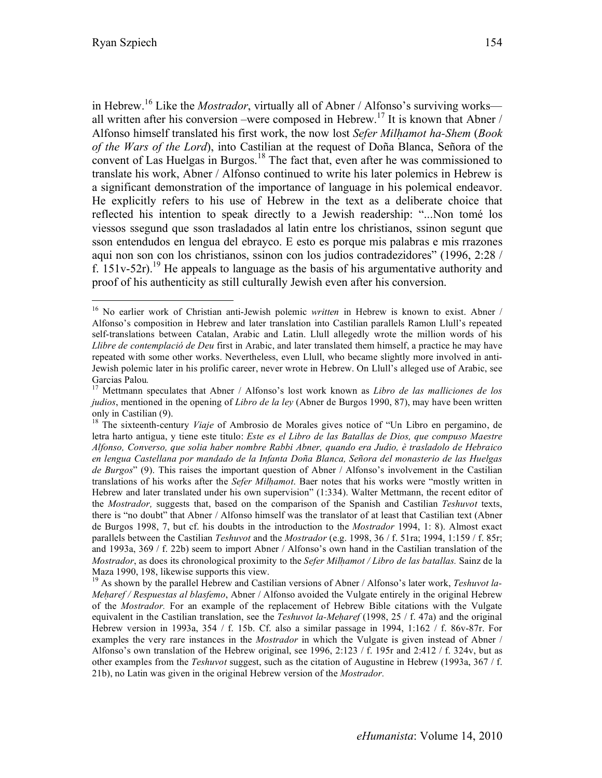in Hebrew.16 Like the *Mostrador*, virtually all of Abner / Alfonso's surviving works all written after his conversion –were composed in Hebrew.<sup>17</sup> It is known that Abner / Alfonso himself translated his first work, the now lost *Sefer Milḥamot ha-Shem* (*Book of the Wars of the Lord*), into Castilian at the request of Doña Blanca, Señora of the convent of Las Huelgas in Burgos.<sup>18</sup> The fact that, even after he was commissioned to translate his work, Abner / Alfonso continued to write his later polemics in Hebrew is a significant demonstration of the importance of language in his polemical endeavor. He explicitly refers to his use of Hebrew in the text as a deliberate choice that reflected his intention to speak directly to a Jewish readership: "...Non tomé los viessos ssegund que sson trasladados al latin entre los christianos, ssinon segunt que sson entendudos en lengua del ebrayco. E esto es porque mis palabras e mis rrazones aqui non son con los christianos, ssinon con los judios contradezidores" (1996, 2:28 / f. 151v-52r).<sup>19</sup> He appeals to language as the basis of his argumentative authority and proof of his authenticity as still culturally Jewish even after his conversion.

 <sup>16</sup> No earlier work of Christian anti-Jewish polemic *written* in Hebrew is known to exist. Abner / Alfonso's composition in Hebrew and later translation into Castilian parallels Ramon Llull's repeated self-translations between Catalan, Arabic and Latin. Llull allegedly wrote the million words of his *Llibre de contemplació de Deu* first in Arabic, and later translated them himself, a practice he may have repeated with some other works. Nevertheless, even Llull, who became slightly more involved in anti-Jewish polemic later in his prolific career, never wrote in Hebrew. On Llull's alleged use of Arabic, see

Garcias Palou.<br><sup>17</sup> Mettmann speculates that Abner / Alfonso's lost work known as *Libro de las malliciones de los judios*, mentioned in the opening of *Libro de la ley* (Abner de Burgos 1990, 87), may have been written only in Castilian (9).

<sup>&</sup>lt;sup>18</sup> The sixteenth-century *Viaje* of Ambrosio de Morales gives notice of "Un Libro en pergamino, de letra harto antigua, y tiene este titulo: *Este es el Libro de las Batallas de Dios, que compuso Maestre Alfonso, Converso, que solia haber nombre Rabbi Abner, quando era Judio, è trasladolo de Hebraico en lengua Castellana por mandado de la Infanta Doña Blanca, Señora del monasterio de las Huelgas de Burgos*" (9). This raises the important question of Abner / Alfonso's involvement in the Castilian translations of his works after the *Sefer Milḥamot*. Baer notes that his works were "mostly written in Hebrew and later translated under his own supervision" (1:334). Walter Mettmann, the recent editor of the *Mostrador,* suggests that, based on the comparison of the Spanish and Castilian *Teshuvot* texts, there is "no doubt" that Abner / Alfonso himself was the translator of at least that Castilian text (Abner de Burgos 1998, 7, but cf. his doubts in the introduction to the *Mostrador* 1994, 1: 8). Almost exact parallels between the Castilian *Teshuvot* and the *Mostrador* (e.g. 1998, 36 / f. 51ra; 1994, 1:159 / f. 85r; and 1993a, 369 / f. 22b) seem to import Abner / Alfonso's own hand in the Castilian translation of the *Mostrador*, as does its chronological proximity to the *Sefer Milhamot* / *Libro de las batallas*. Sainz de la Maza 1990, 198, likewise supports this view.<br><sup>19</sup> As shown by the parallel Hebrew and Castilian versions of Abner / Alfonso's later work, *Teshuvot la*-

*Meḥaref / Respuestas al blasfemo*, Abner / Alfonso avoided the Vulgate entirely in the original Hebrew of the *Mostrador.* For an example of the replacement of Hebrew Bible citations with the Vulgate equivalent in the Castilian translation, see the *Teshuvot la-Meharef* (1998, 25 / f. 47a) and the original Hebrew version in 1993a, 354 / f. 15b. Cf. also a similar passage in 1994, 1:162 / f. 86v-87r. For examples the very rare instances in the *Mostrador* in which the Vulgate is given instead of Abner / Alfonso's own translation of the Hebrew original, see 1996, 2:123 / f. 195r and 2:412 / f. 324v, but as other examples from the *Teshuvot* suggest, such as the citation of Augustine in Hebrew (1993a, 367 / f. 21b), no Latin was given in the original Hebrew version of the *Mostrador.*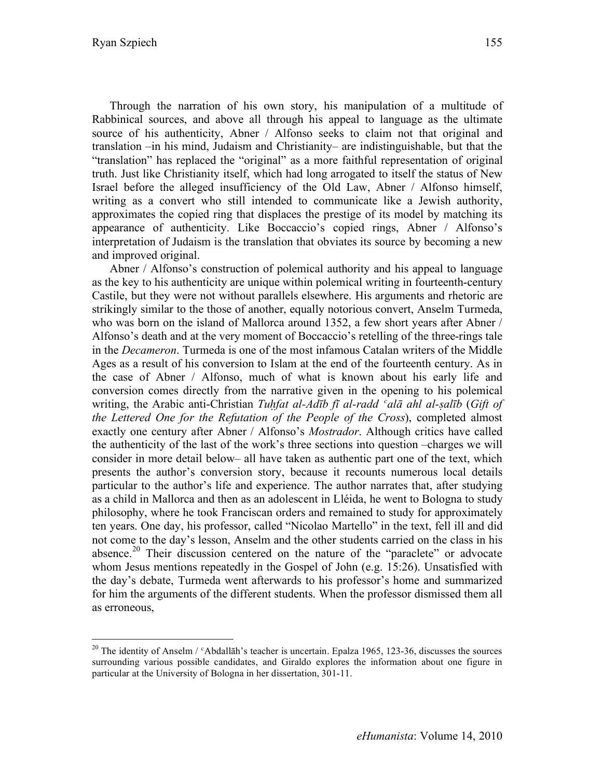Through the narration of his own story, his manipulation of a multitude of Rabbinical sources, and above all through his appeal to language as the ultimate source of his authenticity, Abner / Alfonso seeks to claim not that original and translation –in his mind, Judaism and Christianity– are indistinguishable, but that the "translation" has replaced the "original" as a more faithful representation of original truth. Just like Christianity itself, which had long arrogated to itself the status of New Israel before the alleged insufficiency of the Old Law, Abner / Alfonso himself, writing as a convert who still intended to communicate like a Jewish authority, approximates the copied ring that displaces the prestige of its model by matching its appearance of authenticity. Like Boccaccio's copied rings, Abner / Alfonso's interpretation of Judaism is the translation that obviates its source by becoming a new and improved original.

Abner / Alfonso's construction of polemical authority and his appeal to language as the key to his authenticity are unique within polemical writing in fourteenth-century Castile, but they were not without parallels elsewhere. His arguments and rhetoric are strikingly similar to the those of another, equally notorious convert, Anselm Turmeda, who was born on the island of Mallorca around 1352, a few short years after Abner / Alfonso's death and at the very moment of Boccaccio's retelling of the three-rings tale in the *Decameron*. Turmeda is one of the most infamous Catalan writers of the Middle Ages as a result of his conversion to Islam at the end of the fourteenth century. As in the case of Abner / Alfonso, much of what is known about his early life and conversion comes directly from the narrative given in the opening to his polemical writing, the Arabic anti-Christian *Tuḥfat al-Adīb fī al-radd ʿalā ahl al-ṣalīb* (*Gift of the Lettered One for the Refutation of the People of the Cross*), completed almost exactly one century after Abner / Alfonso's *Mostrador*. Although critics have called the authenticity of the last of the work's three sections into question –charges we will consider in more detail below– all have taken as authentic part one of the text, which presents the author's conversion story, because it recounts numerous local details particular to the author's life and experience. The author narrates that, after studying as a child in Mallorca and then as an adolescent in Lléida, he went to Bologna to study philosophy, where he took Franciscan orders and remained to study for approximately ten years. One day, his professor, called "Nicolao Martello" in the text, fell ill and did not come to the day's lesson, Anselm and the other students carried on the class in his absence.<sup>20</sup> Their discussion centered on the nature of the "paraclete" or advocate whom Jesus mentions repeatedly in the Gospel of John (e.g. 15:26). Unsatisfied with the day's debate, Turmeda went afterwards to his professor's home and summarized for him the arguments of the different students. When the professor dismissed them all as erroneous,

<sup>&</sup>lt;sup>20</sup> The identity of Anselm /  $\epsilon$ Abdallāh's teacher is uncertain. Epalza 1965, 123-36, discusses the sources surrounding various possible candidates, and Giraldo explores the information about one figure in particular at the University of Bologna in her dissertation, 301-11.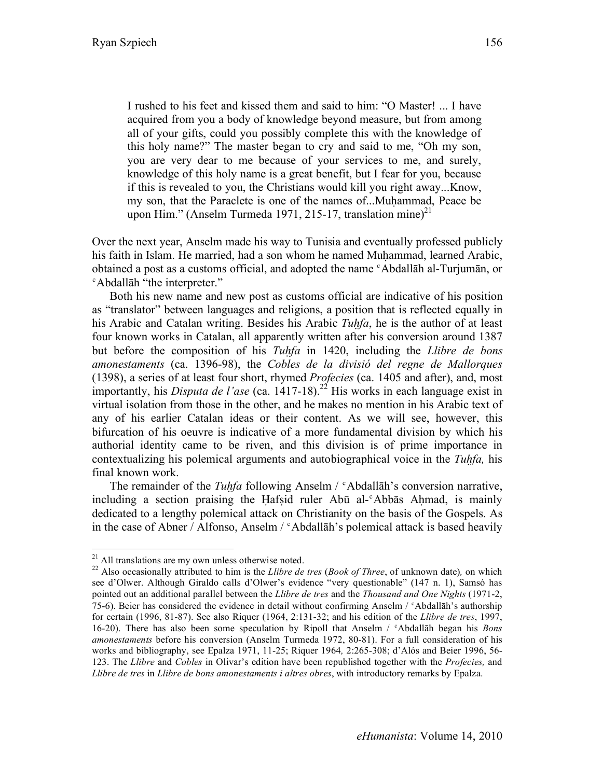I rushed to his feet and kissed them and said to him: "O Master! ... I have

acquired from you a body of knowledge beyond measure, but from among all of your gifts, could you possibly complete this with the knowledge of this holy name?" The master began to cry and said to me, "Oh my son, you are very dear to me because of your services to me, and surely, knowledge of this holy name is a great benefit, but I fear for you, because if this is revealed to you, the Christians would kill you right away...Know, my son, that the Paraclete is one of the names of...Muhammad, Peace be upon Him." (Anselm Turmeda 1971, 215-17, translation mine)<sup>21</sup>

Over the next year, Anselm made his way to Tunisia and eventually professed publicly his faith in Islam. He married, had a son whom he named Muhammad, learned Arabic, obtained a post as a customs official, and adopted the name ʿAbdallāh al-Turjumān, or ʿAbdallāh "the interpreter."

Both his new name and new post as customs official are indicative of his position as "translator" between languages and religions, a position that is reflected equally in his Arabic and Catalan writing. Besides his Arabic *Tuḥfa*, he is the author of at least four known works in Catalan, all apparently written after his conversion around 1387 but before the composition of his *Tuḥfa* in 1420, including the *Llibre de bons amonestaments* (ca. 1396-98), the *Cobles de la divisió del regne de Mallorques* (1398), a series of at least four short, rhymed *Profecies* (ca. 1405 and after), and, most importantly, his *Disputa de l'ase* (ca. 1417-18).<sup>22</sup> His works in each language exist in virtual isolation from those in the other, and he makes no mention in his Arabic text of any of his earlier Catalan ideas or their content. As we will see, however, this bifurcation of his oeuvre is indicative of a more fundamental division by which his authorial identity came to be riven, and this division is of prime importance in contextualizing his polemical arguments and autobiographical voice in the *Tuḥfa,* his final known work.

The remainder of the *Tuhfa* following Anselm / <sup>c</sup>Abdallāh's conversion narrative, including a section praising the Hafsid ruler Abū al- $\epsilon$ Abbās Ahmad, is mainly dedicated to a lengthy polemical attack on Christianity on the basis of the Gospels. As in the case of Abner / Alfonso, Anselm /  $\epsilon$ Abdallāh's polemical attack is based heavily

<sup>&</sup>lt;sup>21</sup> All translations are my own unless otherwise noted.<br><sup>22</sup> Also occasionally attributed to him is the *Llibre de tres (Book of Three*, of unknown date), on which see d'Olwer. Although Giraldo calls d'Olwer's evidence "very questionable" (147 n. 1), Samsó has pointed out an additional parallel between the *Llibre de tres* and the *Thousand and One Nights* (1971-2, 75-6). Beier has considered the evidence in detail without confirming Anselm / ʿAbdallāh's authorship for certain (1996, 81-87). See also Riquer (1964, 2:131-32; and his edition of the *Llibre de tres*, 1997, 16-20). There has also been some speculation by Ripoll that Anselm / ʿAbdallāh began his *Bons amonestaments* before his conversion (Anselm Turmeda 1972, 80-81). For a full consideration of his works and bibliography, see Epalza 1971, 11-25; Riquer 1964*,* 2:265-308; d'Alós and Beier 1996, 56- 123. The *Llibre* and *Cobles* in Olivar's edition have been republished together with the *Profecies,* and *Llibre de tres* in *Llibre de bons amonestaments i altres obres*, with introductory remarks by Epalza.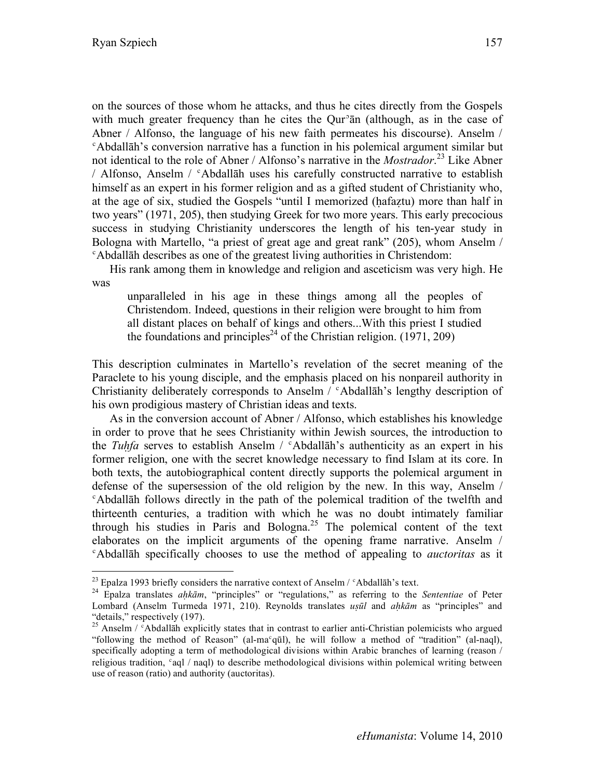on the sources of those whom he attacks, and thus he cites directly from the Gospels with much greater frequency than he cites the Our<sup>3</sup> and (although, as in the case of Abner / Alfonso, the language of his new faith permeates his discourse). Anselm / ʿAbdallāh's conversion narrative has a function in his polemical argument similar but not identical to the role of Abner / Alfonso's narrative in the *Mostrador*. 23 Like Abner / Alfonso, Anselm / ʿAbdallāh uses his carefully constructed narrative to establish himself as an expert in his former religion and as a gifted student of Christianity who, at the age of six, studied the Gospels "until I memorized (ḥafaẓtu) more than half in two years" (1971, 205), then studying Greek for two more years. This early precocious success in studying Christianity underscores the length of his ten-year study in Bologna with Martello, "a priest of great age and great rank" (205), whom Anselm / ʿAbdallāh describes as one of the greatest living authorities in Christendom:

His rank among them in knowledge and religion and asceticism was very high. He was

unparalleled in his age in these things among all the peoples of Christendom. Indeed, questions in their religion were brought to him from all distant places on behalf of kings and others...With this priest I studied the foundations and principles<sup>24</sup> of the Christian religion.  $(1971, 209)$ 

This description culminates in Martello's revelation of the secret meaning of the Paraclete to his young disciple, and the emphasis placed on his nonpareil authority in Christianity deliberately corresponds to Anselm / ʿAbdallāh's lengthy description of his own prodigious mastery of Christian ideas and texts.

As in the conversion account of Abner / Alfonso, which establishes his knowledge in order to prove that he sees Christianity within Jewish sources, the introduction to the *Tuḥfa* serves to establish Anselm / ʿAbdallāh's authenticity as an expert in his former religion, one with the secret knowledge necessary to find Islam at its core. In both texts, the autobiographical content directly supports the polemical argument in defense of the supersession of the old religion by the new. In this way, Anselm / ʿAbdallāh follows directly in the path of the polemical tradition of the twelfth and thirteenth centuries, a tradition with which he was no doubt intimately familiar through his studies in Paris and Bologna.<sup>25</sup> The polemical content of the text elaborates on the implicit arguments of the opening frame narrative. Anselm / ʿAbdallāh specifically chooses to use the method of appealing to *auctoritas* as it

 $^{23}$  Epalza 1993 briefly considers the narrative context of Anselm /  $\degree$ Abdallāh's text.

<sup>24</sup> Epalza translates *aḥkām*, "principles" or "regulations," as referring to the *Sententiae* of Peter Lombard (Anselm Turmeda 1971, 210). Reynolds translates *uṣūl* and *aḥkām* as "principles" and "details," respectively (197).<br><sup>25</sup> Anselm / <sup>c</sup>Abdallāh explicitly states that in contrast to earlier anti-Christian polemicists who argued

<sup>&</sup>quot;following the method of Reason" (al-maʿqūl), he will follow a method of "tradition" (al-naql), specifically adopting a term of methodological divisions within Arabic branches of learning (reason / religious tradition, ʿaql / naql) to describe methodological divisions within polemical writing between use of reason (ratio) and authority (auctoritas).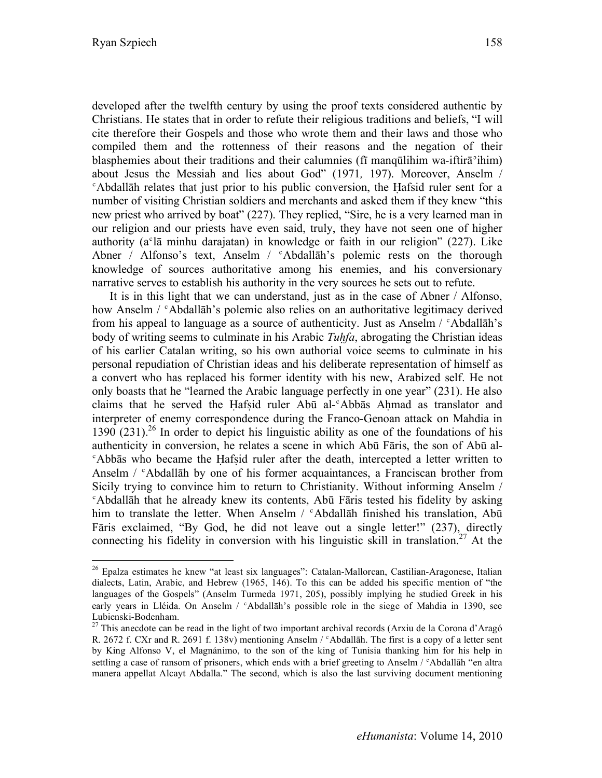developed after the twelfth century by using the proof texts considered authentic by Christians. He states that in order to refute their religious traditions and beliefs, "I will cite therefore their Gospels and those who wrote them and their laws and those who compiled them and the rottenness of their reasons and the negation of their blasphemies about their traditions and their calumnies (fī manqūlihim wa-iftirāʾihim) about Jesus the Messiah and lies about God" (1971*,* 197). Moreover, Anselm / ʿAbdallāh relates that just prior to his public conversion, the Ḥafsid ruler sent for a number of visiting Christian soldiers and merchants and asked them if they knew "this new priest who arrived by boat" (227). They replied, "Sire, he is a very learned man in our religion and our priests have even said, truly, they have not seen one of higher authority (aʿlā minhu darajatan) in knowledge or faith in our religion" (227). Like Abner / Alfonso's text, Anselm /  $c$ Abdallāh's polemic rests on the thorough knowledge of sources authoritative among his enemies, and his conversionary narrative serves to establish his authority in the very sources he sets out to refute.

It is in this light that we can understand, just as in the case of Abner / Alfonso, how Anselm /  $\epsilon$ Abdallāh's polemic also relies on an authoritative legitimacy derived from his appeal to language as a source of authenticity. Just as Anselm  $\ell$  <sup>c</sup>Abdallah's body of writing seems to culminate in his Arabic *Tuḥfa*, abrogating the Christian ideas of his earlier Catalan writing, so his own authorial voice seems to culminate in his personal repudiation of Christian ideas and his deliberate representation of himself as a convert who has replaced his former identity with his new, Arabized self. He not only boasts that he "learned the Arabic language perfectly in one year" (231). He also claims that he served the Ḥafṣid ruler Abū al-ʿAbbās Aḥmad as translator and interpreter of enemy correspondence during the Franco-Genoan attack on Mahdia in 1390  $(231)^{26}$  In order to depict his linguistic ability as one of the foundations of his authenticity in conversion, he relates a scene in which Abū Fāris, the son of Abū al-<sup>c</sup>Abbās who became the Hafsid ruler after the death, intercepted a letter written to Anselm / <sup>c</sup>Abdallāh by one of his former acquaintances, a Franciscan brother from Sicily trying to convince him to return to Christianity. Without informing Anselm / ʿAbdallāh that he already knew its contents, Abū Fāris tested his fidelity by asking him to translate the letter. When Anselm / 'Abdallāh finished his translation, Abū Fāris exclaimed, "By God, he did not leave out a single letter!" (237), directly connecting his fidelity in conversion with his linguistic skill in translation.<sup>27</sup> At the

<sup>&</sup>lt;sup>26</sup> Epalza estimates he knew "at least six languages": Catalan-Mallorcan, Castilian-Aragonese, Italian dialects, Latin, Arabic, and Hebrew (1965, 146). To this can be added his specific mention of "the languages of the Gospels" (Anselm Turmeda 1971, 205), possibly implying he studied Greek in his early years in Lléida. On Anselm / <sup>c</sup>Abdallāh's possible role in the siege of Mahdia in 1390, see Lubienski-Bodenham.<br><sup>27</sup> This anecdote can be read in the light of two important archival records (Arxiu de la Corona d'Aragó

R. 2672 f. CXr and R. 2691 f. 138v) mentioning Anselm /  $\epsilon$ Abdallāh. The first is a copy of a letter sent by King Alfonso V, el Magnánimo, to the son of the king of Tunisia thanking him for his help in settling a case of ransom of prisoners, which ends with a brief greeting to Anselm / <sup>c</sup>Abdallāh "en altra manera appellat Alcayt Abdalla." The second, which is also the last surviving document mentioning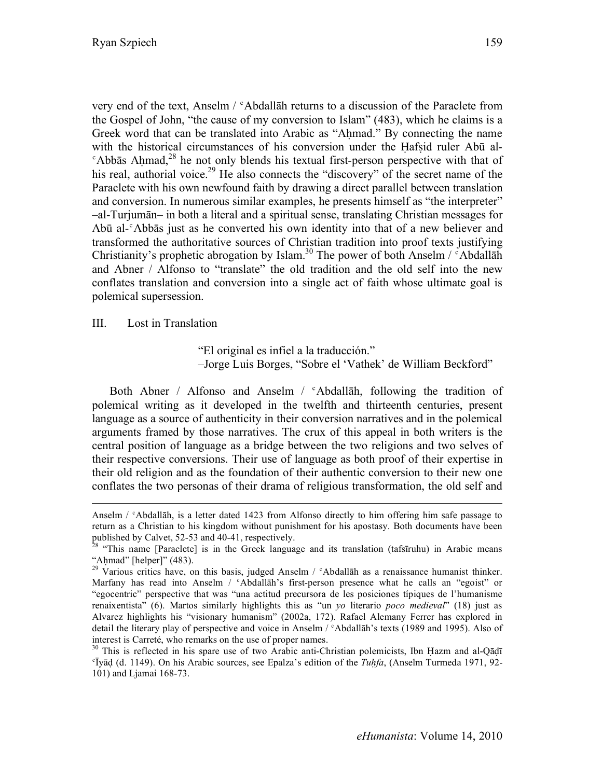very end of the text, Anselm / ʿAbdallāh returns to a discussion of the Paraclete from the Gospel of John, "the cause of my conversion to Islam" (483), which he claims is a Greek word that can be translated into Arabic as "Ahmad." By connecting the name with the historical circumstances of his conversion under the Hafsid ruler Abū al- $\epsilon$ Abbās Ahmad,<sup>28</sup> he not only blends his textual first-person perspective with that of his real, authorial voice.<sup>29</sup> He also connects the "discovery" of the secret name of the Paraclete with his own newfound faith by drawing a direct parallel between translation and conversion. In numerous similar examples, he presents himself as "the interpreter" –al-Turjumān– in both a literal and a spiritual sense, translating Christian messages for Abū al-ʿAbbās just as he converted his own identity into that of a new believer and transformed the authoritative sources of Christian tradition into proof texts justifying Christianity's prophetic abrogation by Islam.<sup>30</sup> The power of both Anselm /  $\epsilon$ Abdallah and Abner / Alfonso to "translate" the old tradition and the old self into the new conflates translation and conversion into a single act of faith whose ultimate goal is polemical supersession.

#### III. Lost in Translation

 $\overline{a}$ 

"El original es infiel a la traducción." –Jorge Luis Borges, "Sobre el 'Vathek' de William Beckford"

Both Abner / Alfonso and Anselm / <sup>c</sup>Abdallāh, following the tradition of polemical writing as it developed in the twelfth and thirteenth centuries, present language as a source of authenticity in their conversion narratives and in the polemical arguments framed by those narratives. The crux of this appeal in both writers is the central position of language as a bridge between the two religions and two selves of their respective conversions. Their use of language as both proof of their expertise in their old religion and as the foundation of their authentic conversion to their new one conflates the two personas of their drama of religious transformation, the old self and

Anselm / ʿAbdallāh, is a letter dated 1423 from Alfonso directly to him offering him safe passage to return as a Christian to his kingdom without punishment for his apostasy. Both documents have been published by Calvet, 52-53 and 40-41, respectively.

<sup>&</sup>lt;sup>28</sup> "This name [Paraclete] is in the Greek language and its translation (tafsīruhu) in Arabic means

<sup>&</sup>quot;Aḥmad" [helper]" (483).<br><sup>29</sup> Various critics have, on this basis, judged Anselm / °Abdallāh as a renaissance humanist thinker. Marfany has read into Anselm /  $\epsilon$ Abdallāh's first-person presence what he calls an "egoist" or "egocentric" perspective that was "una actitud precursora de les posiciones típiques de l'humanisme renaixentista" (6). Martos similarly highlights this as "un *yo* literario *poco medieval*" (18) just as Alvarez highlights his "visionary humanism" (2002a, 172). Rafael Alemany Ferrer has explored in detail the literary play of perspective and voice in Anselm / 'Abdallāh's texts (1989 and 1995). Also of interest is Carreté, who remarks on the use of proper names.

<sup>&</sup>lt;sup>30</sup> This is reflected in his spare use of two Arabic anti-Christian polemicists, Ibn Hazm and al-Qādī ʿĪyāḍ (d. 1149). On his Arabic sources, see Epalza's edition of the *Tuḥfa*, (Anselm Turmeda 1971, 92- 101) and Ljamai 168-73.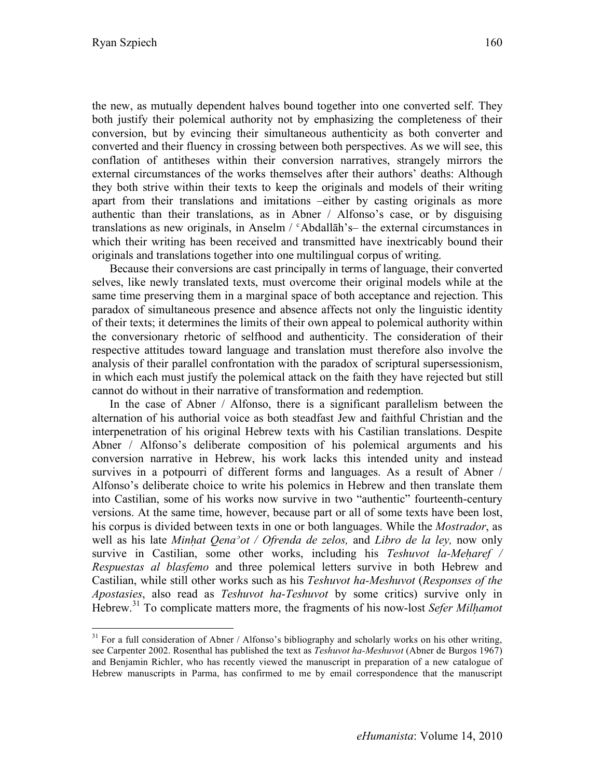the new, as mutually dependent halves bound together into one converted self. They both justify their polemical authority not by emphasizing the completeness of their conversion, but by evincing their simultaneous authenticity as both converter and converted and their fluency in crossing between both perspectives. As we will see, this conflation of antitheses within their conversion narratives, strangely mirrors the external circumstances of the works themselves after their authors' deaths: Although they both strive within their texts to keep the originals and models of their writing apart from their translations and imitations –either by casting originals as more authentic than their translations, as in Abner / Alfonso's case, or by disguising translations as new originals, in Anselm /  $c$ Abdallāh's- the external circumstances in which their writing has been received and transmitted have inextricably bound their originals and translations together into one multilingual corpus of writing.

Because their conversions are cast principally in terms of language, their converted selves, like newly translated texts, must overcome their original models while at the same time preserving them in a marginal space of both acceptance and rejection. This paradox of simultaneous presence and absence affects not only the linguistic identity of their texts; it determines the limits of their own appeal to polemical authority within the conversionary rhetoric of selfhood and authenticity. The consideration of their respective attitudes toward language and translation must therefore also involve the analysis of their parallel confrontation with the paradox of scriptural supersessionism, in which each must justify the polemical attack on the faith they have rejected but still cannot do without in their narrative of transformation and redemption.

In the case of Abner / Alfonso, there is a significant parallelism between the alternation of his authorial voice as both steadfast Jew and faithful Christian and the interpenetration of his original Hebrew texts with his Castilian translations. Despite Abner / Alfonso's deliberate composition of his polemical arguments and his conversion narrative in Hebrew, his work lacks this intended unity and instead survives in a potpourri of different forms and languages. As a result of Abner / Alfonso's deliberate choice to write his polemics in Hebrew and then translate them into Castilian, some of his works now survive in two "authentic" fourteenth-century versions. At the same time, however, because part or all of some texts have been lost, his corpus is divided between texts in one or both languages. While the *Mostrador*, as well as his late *Minḥat Qenaʾot / Ofrenda de zelos,* and *Libro de la ley,* now only survive in Castilian, some other works, including his *Teshuvot la-Meharef* / *Respuestas al blasfemo* and three polemical letters survive in both Hebrew and Castilian, while still other works such as his *Teshuvot ha-Meshuvot* (*Responses of the Apostasies*, also read as *Teshuvot ha-Teshuvot* by some critics) survive only in Hebrew.31 To complicate matters more, the fragments of his now-lost *Sefer Milḥamot* 

 $31$  For a full consideration of Abner / Alfonso's bibliography and scholarly works on his other writing, see Carpenter 2002. Rosenthal has published the text as *Teshuvot ha-Meshuvot* (Abner de Burgos 1967) and Benjamin Richler, who has recently viewed the manuscript in preparation of a new catalogue of Hebrew manuscripts in Parma, has confirmed to me by email correspondence that the manuscript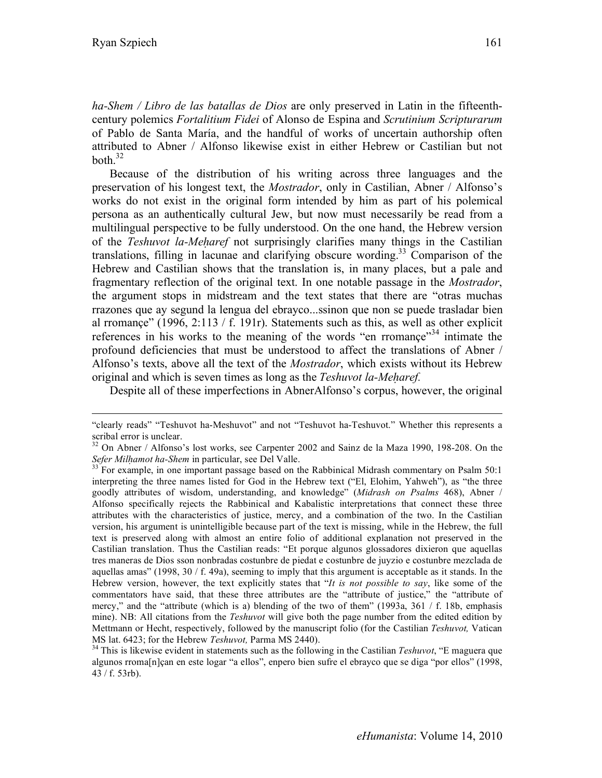*ha-Shem / Libro de las batallas de Dios* are only preserved in Latin in the fifteenthcentury polemics *Fortalitium Fidei* of Alonso de Espina and *Scrutinium Scripturarum*  of Pablo de Santa María, and the handful of works of uncertain authorship often attributed to Abner / Alfonso likewise exist in either Hebrew or Castilian but not both. $32$ 

Because of the distribution of his writing across three languages and the preservation of his longest text, the *Mostrador*, only in Castilian, Abner / Alfonso's works do not exist in the original form intended by him as part of his polemical persona as an authentically cultural Jew, but now must necessarily be read from a multilingual perspective to be fully understood. On the one hand, the Hebrew version of the *Teshuvot la-Meḥaref* not surprisingly clarifies many things in the Castilian translations, filling in lacunae and clarifying obscure wording.<sup>33</sup> Comparison of the Hebrew and Castilian shows that the translation is, in many places, but a pale and fragmentary reflection of the original text. In one notable passage in the *Mostrador*, the argument stops in midstream and the text states that there are "otras muchas rrazones que ay segund la lengua del ebrayco...ssinon que non se puede trasladar bien al rromançe" (1996, 2:113 / f. 191r). Statements such as this, as well as other explicit references in his works to the meaning of the words "en rromance"<sup>34</sup> intimate the profound deficiencies that must be understood to affect the translations of Abner / Alfonso's texts, above all the text of the *Mostrador*, which exists without its Hebrew original and which is seven times as long as the *Teshuvot la-Meharef*.

Despite all of these imperfections in AbnerAlfonso's corpus, however, the original

 <sup>&</sup>quot;clearly reads" "Teshuvot ha-Meshuvot" and not "Teshuvot ha-Teshuvot." Whether this represents a scribal error is unclear.<br><sup>32</sup> On Abner / Alfonso's lost works, see Carpenter 2002 and Sainz de la Maza 1990, 198-208. On the

*Sefer Milhamot ha-Shem* in particular, see Del Valle.<br><sup>33</sup> For example, in one important passage based on the Rabbinical Midrash commentary on Psalm 50:1

interpreting the three names listed for God in the Hebrew text ("El, Elohim, Yahweh"), as "the three goodly attributes of wisdom, understanding, and knowledge" (*Midrash on Psalms* 468), Abner / Alfonso specifically rejects the Rabbinical and Kabalistic interpretations that connect these three attributes with the characteristics of justice, mercy, and a combination of the two. In the Castilian version, his argument is unintelligible because part of the text is missing, while in the Hebrew, the full text is preserved along with almost an entire folio of additional explanation not preserved in the Castilian translation. Thus the Castilian reads: "Et porque algunos glossadores dixieron que aquellas tres maneras de Dios sson nonbradas costunbre de piedat e costunbre de juyzio e costunbre mezclada de aquellas amas" (1998,  $30/$  f. 49a), seeming to imply that this argument is acceptable as it stands. In the Hebrew version, however, the text explicitly states that "*It is not possible to say*, like some of the commentators have said, that these three attributes are the "attribute of justice," the "attribute of mercy," and the "attribute (which is a) blending of the two of them" (1993a, 361 / f. 18b, emphasis mine). NB: All citations from the *Teshuvot* will give both the page number from the edited edition by Mettmann or Hecht, respectively, followed by the manuscript folio (for the Castilian *Teshuvot,* Vatican

MS lat. 6423; for the Hebrew *Teshuvot,* Parma MS 2440). 34 This is likewise evident in statements such as the following in the Castilian *Teshuvot*, "E maguera que algunos rroma[n]çan en este logar "a ellos", enpero bien sufre el ebrayco que se diga "por ellos" (1998, 43 / f. 53rb).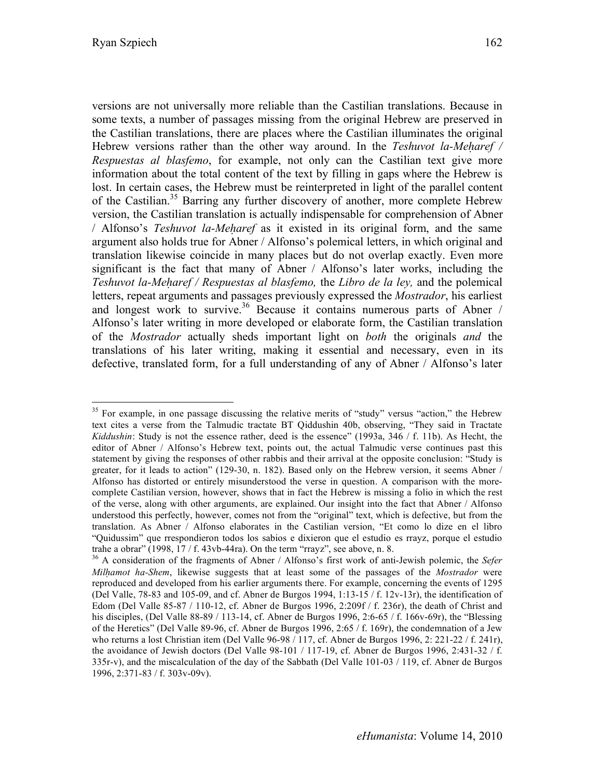versions are not universally more reliable than the Castilian translations. Because in some texts, a number of passages missing from the original Hebrew are preserved in the Castilian translations, there are places where the Castilian illuminates the original Hebrew versions rather than the other way around. In the *Teshuvot la-Meharef* / *Respuestas al blasfemo*, for example, not only can the Castilian text give more information about the total content of the text by filling in gaps where the Hebrew is lost. In certain cases, the Hebrew must be reinterpreted in light of the parallel content of the Castilian.<sup>35</sup> Barring any further discovery of another, more complete Hebrew version, the Castilian translation is actually indispensable for comprehension of Abner / Alfonso's *Teshuvot la-Meḥaref* as it existed in its original form, and the same argument also holds true for Abner / Alfonso's polemical letters, in which original and translation likewise coincide in many places but do not overlap exactly. Even more significant is the fact that many of Abner / Alfonso's later works, including the *Teshuvot la-Meḥaref / Respuestas al blasfemo,* the *Libro de la ley,* and the polemical letters, repeat arguments and passages previously expressed the *Mostrador*, his earliest and longest work to survive.<sup>36</sup> Because it contains numerous parts of Abner / Alfonso's later writing in more developed or elaborate form, the Castilian translation of the *Mostrador* actually sheds important light on *both* the originals *and* the translations of his later writing, making it essential and necessary, even in its defective, translated form, for a full understanding of any of Abner / Alfonso's later

 $35$  For example, in one passage discussing the relative merits of "study" versus "action," the Hebrew text cites a verse from the Talmudic tractate BT Qiddushin 40b, observing, "They said in Tractate *Kiddushin*: Study is not the essence rather, deed is the essence" (1993a, 346 / f. 11b). As Hecht, the editor of Abner / Alfonso's Hebrew text, points out, the actual Talmudic verse continues past this statement by giving the responses of other rabbis and their arrival at the opposite conclusion: "Study is greater, for it leads to action" (129-30, n. 182). Based only on the Hebrew version, it seems Abner / Alfonso has distorted or entirely misunderstood the verse in question. A comparison with the morecomplete Castilian version, however, shows that in fact the Hebrew is missing a folio in which the rest of the verse, along with other arguments, are explained. Our insight into the fact that Abner / Alfonso understood this perfectly, however, comes not from the "original" text, which is defective, but from the translation. As Abner / Alfonso elaborates in the Castilian version, "Et como lo dize en el libro "Quidussim" que rrespondieron todos los sabios e dixieron que el estudio es rrayz, porque el estudio trahe a obrar" (1998, 17 / f. 43vb-44ra). On the term "rrayz", see above, n. 8. 36 A consideration of the fragments of Abner / Alfonso's first work of anti-Jewish polemic, the *Sefer* 

*Milḥamot ha-Shem*, likewise suggests that at least some of the passages of the *Mostrador* were reproduced and developed from his earlier arguments there. For example, concerning the events of 1295 (Del Valle, 78-83 and 105-09, and cf. Abner de Burgos 1994, 1:13-15 / f. 12v-13r), the identification of Edom (Del Valle 85-87 / 110-12, cf. Abner de Burgos 1996, 2:209f / f. 236r), the death of Christ and his disciples, (Del Valle 88-89 / 113-14, cf. Abner de Burgos 1996, 2:6-65 / f. 166v-69r), the "Blessing of the Heretics" (Del Valle 89-96, cf. Abner de Burgos 1996, 2:65 / f. 169r), the condemnation of a Jew who returns a lost Christian item (Del Valle 96-98 / 117, cf. Abner de Burgos 1996, 2: 221-22 / f. 241r), the avoidance of Jewish doctors (Del Valle 98-101 / 117-19, cf. Abner de Burgos 1996, 2:431-32 / f. 335r-v), and the miscalculation of the day of the Sabbath (Del Valle 101-03 / 119, cf. Abner de Burgos 1996, 2:371-83 / f. 303v-09v).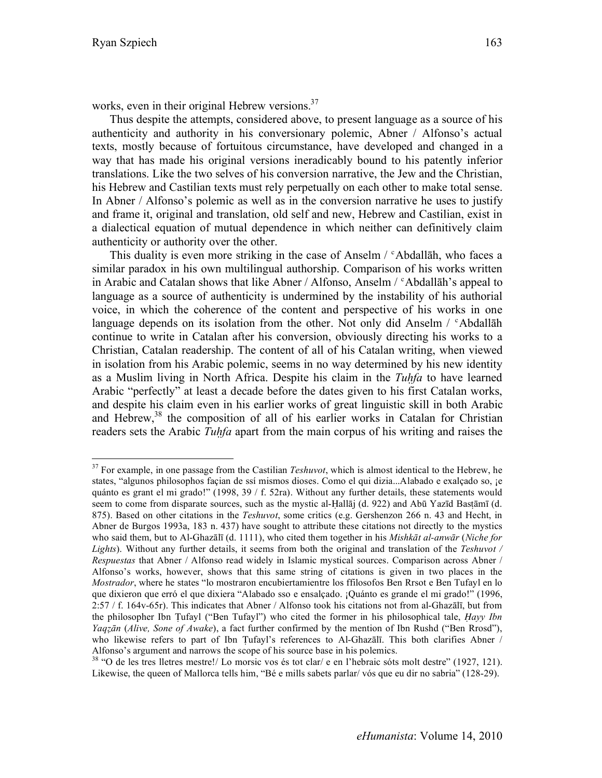works, even in their original Hebrew versions.<sup>37</sup>

Thus despite the attempts, considered above, to present language as a source of his authenticity and authority in his conversionary polemic, Abner / Alfonso's actual texts, mostly because of fortuitous circumstance, have developed and changed in a way that has made his original versions ineradicably bound to his patently inferior translations. Like the two selves of his conversion narrative, the Jew and the Christian, his Hebrew and Castilian texts must rely perpetually on each other to make total sense. In Abner / Alfonso's polemic as well as in the conversion narrative he uses to justify and frame it, original and translation, old self and new, Hebrew and Castilian, exist in a dialectical equation of mutual dependence in which neither can definitively claim authenticity or authority over the other.

This duality is even more striking in the case of Anselm / 'Abdallah, who faces a similar paradox in his own multilingual authorship. Comparison of his works written in Arabic and Catalan shows that like Abner / Alfonso, Anselm  $/$  <sup> $\circ$ </sup>Abdallah's appeal to language as a source of authenticity is undermined by the instability of his authorial voice, in which the coherence of the content and perspective of his works in one language depends on its isolation from the other. Not only did Anselm /  $\epsilon$ Abdallah continue to write in Catalan after his conversion, obviously directing his works to a Christian, Catalan readership. The content of all of his Catalan writing, when viewed in isolation from his Arabic polemic, seems in no way determined by his new identity as a Muslim living in North Africa. Despite his claim in the *Tuḥfa* to have learned Arabic "perfectly" at least a decade before the dates given to his first Catalan works, and despite his claim even in his earlier works of great linguistic skill in both Arabic and Hebrew, $38$  the composition of all of his earlier works in Catalan for Christian readers sets the Arabic *Tuḥfa* apart from the main corpus of his writing and raises the

<sup>&</sup>lt;sup>37</sup> For example, in one passage from the Castilian *Teshuvot*, which is almost identical to the Hebrew, he states, "algunos philosophos façian de ssí mismos dioses. Como el qui dizia...Alabado e exalçado so, ¡e quánto es grant el mi grado!" (1998, 39 / f. 52ra). Without any further details, these statements would seem to come from disparate sources, such as the mystic al-Ḥallāj (d. 922) and Abū Yazīd Basṭāmī (d. 875). Based on other citations in the *Teshuvot*, some critics (e.g. Gershenzon 266 n. 43 and Hecht, in Abner de Burgos 1993a, 183 n. 437) have sought to attribute these citations not directly to the mystics who said them, but to Al-Ghazālī (d. 1111), who cited them together in his *Mishkāt al-anwār* (*Niche for Lights*). Without any further details, it seems from both the original and translation of the *Teshuvot / Respuestas* that Abner / Alfonso read widely in Islamic mystical sources. Comparison across Abner / Alfonso's works, however, shows that this same string of citations is given in two places in the *Mostrador*, where he states "lo mostraron encubiertamientre los ffilosofos Ben Rrsot e Ben Tufayl en lo que dixieron que erró el que dixiera "Alabado sso e ensalçado. ¡Quánto es grande el mi grado!" (1996, 2:57 / f. 164v-65r). This indicates that Abner / Alfonso took his citations not from al-Ghazālī, but from the philosopher Ibn Ṭufayl ("Ben Tufayl") who cited the former in his philosophical tale, *Ḥayy Ibn Yaqẓān* (*Alive, Sone of Awake*), a fact further confirmed by the mention of Ibn Rushd ("Ben Rrosd"), who likewise refers to part of Ibn Tufayl's references to Al-Ghazali. This both clarifies Abner / Alfonso's argument and narrows the scope of his source base in his polemics.

<sup>&</sup>lt;sup>38</sup> "O de les tres lletres mestre!/ Lo morsic vos és tot clar/ e en l'hebraic sóts molt destre" (1927, 121). Likewise, the queen of Mallorca tells him, "Bé e mills sabets parlar/ vós que eu dir no sabria" (128-29).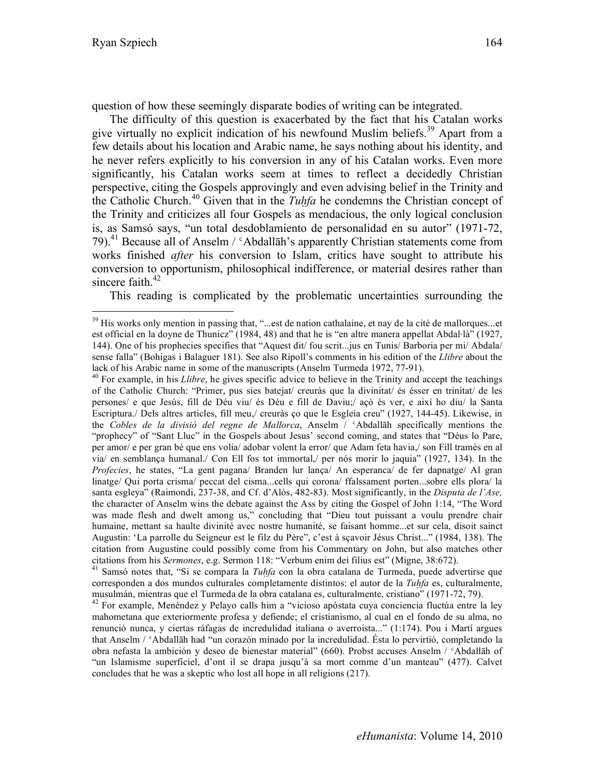question of how these seemingly disparate bodies of writing can be integrated.

The difficulty of this question is exacerbated by the fact that his Catalan works give virtually no explicit indication of his newfound Muslim beliefs.<sup>39</sup> Apart from a few details about his location and Arabic name, he says nothing about his identity, and he never refers explicitly to his conversion in any of his Catalan works. Even more significantly, his Catalan works seem at times to reflect a decidedly Christian perspective, citing the Gospels approvingly and even advising belief in the Trinity and the Catholic Church.<sup>40</sup> Given that in the *Tuḥfa* he condemns the Christian concept of the Trinity and criticizes all four Gospels as mendacious, the only logical conclusion is, as Samsó says, "un total desdoblamiento de personalidad en su autor" (1971-72, 79).<sup>41</sup> Because all of Anselm /  $\epsilon$ Abdallāh's apparently Christian statements come from works finished *after* his conversion to Islam, critics have sought to attribute his conversion to opportunism, philosophical indifference, or material desires rather than sincere faith. $42$ 

This reading is complicated by the problematic uncertainties surrounding the

lack of his Arabic name in some of the manuscripts (Anselm Turmeda 1972, 77-91).<br><sup>40</sup> For example, in his *Llibre*, he gives specific advice to believe in the Trinity and accept the teachings of the Catholic Church: "Primer, pus sies batejat/ creuràs que la divinitat/ és ésser en trinitat/ de les persones/ e que Jesús, fill de Déu viu/ és Déu e fill de Daviu;/ açò és ver, e així ho diu/ la Santa Escriptura./ Dels altres articles, fill meu,/ creuràs ço que le Esgleia creu" (1927, 144-45). Likewise, in the *Cobles de la divisió del regne de Mallorca*, Anselm / ʿAbdallāh specifically mentions the "prophecy" of "Sant Lluc" in the Gospels about Jesus' second coming, and states that "Déus lo Pare, per amor/ e per gran bé que ens volia/ adobar volent la error/ que Adam feta havia,/ son Fill tramès en al via/ en semblança humanal./ Con Ell fos tot immortal,/ per nós morir lo jaquia" (1927, 134). In the *Profecies*, he states, "La gent pagana/ Branden lur lança/ An esperanca/ de fer dapnatge/ Al gran linatge/ Qui porta crisma/ peccat del cisma...cells qui corona/ ffalssament porten...sobre ells plora/ la santa esgleya" (Raimondi, 237-38, and Cf. d'Alós, 482-83). Most significantly, in the *Disputa de l'Ase,*  the character of Anselm wins the debate against the Ass by citing the Gospel of John 1:14, "The Word was made flesh and dwelt among us," concluding that "Dieu tout puissant a voulu prendre chair humaine, mettant sa haulte divinité avec nostre humanité, se faisant homme...et sur cela, disoit sainct Augustin: 'La parrolle du Seigneur est le filz du Père", c'est à sçavoir Jésus Christ..." (1984, 138). The citation from Augustine could possibly come from his Commentary on John, but also matches other citations from his *Sermones*, e.g. Sermon 118: "Verbum enim dei filius est" (Migne, 38:672).

41 Samsó notes that, "Si se compara la *Tuḥfa* con la obra catalana de Turmeda, puede advertirse que corresponden a dos mundos culturales completamente distintos: el autor de la *Tuḥfa* es, culturalmente,

musulmán, mientras que el Turmeda de la obra catalana es, culturalmente, cristiano" (1971-72, 79). 42 For example, Menéndez y Pelayo calls him a "vicioso apóstata cuya conciencia fluctúa entre la ley mahometana que exteriormente profesa y defiende; el cristianismo, al cual en el fondo de su alma, no renunció nunca, y ciertas ráfagas de incredulidad italiana o averroista..." (1:174). Pou i Martí argues that Anselm / ʿAbdallāh had "un corazón minado por la incredulidad. Ésta lo pervirtió, completando la obra nefasta la ambición y deseo de bienestar material" (660). Probst accuses Anselm / ʿAbdallāh of "un Islamisme superficiel, d'ont il se drapa jusqu'à sa mort comme d'un manteau" (477). Calvet concludes that he was a skeptic who lost all hope in all religions (217).

<sup>&</sup>lt;sup>39</sup> His works only mention in passing that, "...est de nation cathalaine, et nay de la cité de mallorques...et est official en la doyne de Thunicz" (1984, 48) and that he is "en altre manera appellat Abdal·là" (1927, 144). One of his prophecies specifies that "Aquest dit/ fou scrit...jus en Tunis/ Barboria per mi/ Abdala/ sense falla" (Bohigas i Balaguer 181). See also Ripoll's comments in his edition of the *Llibre* about the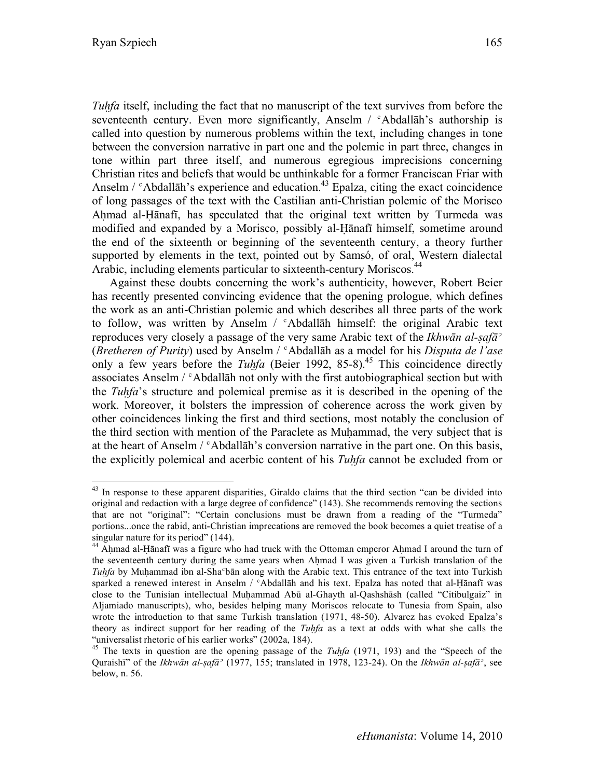*Tuhfa* itself, including the fact that no manuscript of the text survives from before the seventeenth century. Even more significantly, Anselm  $\ell$   $\alpha$ -Abdallah's authorship is called into question by numerous problems within the text, including changes in tone between the conversion narrative in part one and the polemic in part three, changes in tone within part three itself, and numerous egregious imprecisions concerning Christian rites and beliefs that would be unthinkable for a former Franciscan Friar with Anselm  $\ell$  <sup>c</sup>Abdallāh's experience and education.<sup>43</sup> Epalza, citing the exact coincidence of long passages of the text with the Castilian anti-Christian polemic of the Morisco Ahmad al-Hānafī, has speculated that the original text written by Turmeda was modified and expanded by a Morisco, possibly al-Ḥānafī himself, sometime around the end of the sixteenth or beginning of the seventeenth century, a theory further supported by elements in the text, pointed out by Samsó, of oral, Western dialectal Arabic, including elements particular to sixteenth-century Moriscos.<sup>44</sup>

Against these doubts concerning the work's authenticity, however, Robert Beier has recently presented convincing evidence that the opening prologue, which defines the work as an anti-Christian polemic and which describes all three parts of the work to follow, was written by Anselm  $/$   $\alpha$ Abdallah himself: the original Arabic text reproduces very closely a passage of the very same Arabic text of the *Ikhwān al-ṣafāʾ* (*Bretheren of Purity*) used by Anselm / ʿAbdallāh as a model for his *Disputa de l'ase* only a few years before the *Tuhfa* (Beier 1992, 85-8).<sup>45</sup> This coincidence directly associates Anselm / <sup>c</sup>Abdallah not only with the first autobiographical section but with the *Tuḥfa*'s structure and polemical premise as it is described in the opening of the work. Moreover, it bolsters the impression of coherence across the work given by other coincidences linking the first and third sections, most notably the conclusion of the third section with mention of the Paraclete as Muḥammad, the very subject that is at the heart of Anselm  $\ell^c$ Abdallāh's conversion narrative in the part one. On this basis, the explicitly polemical and acerbic content of his *Tuḥfa* cannot be excluded from or

<sup>&</sup>lt;sup>43</sup> In response to these apparent disparities, Giraldo claims that the third section "can be divided into original and redaction with a large degree of confidence" (143). She recommends removing the sections that are not "original": "Certain conclusions must be drawn from a reading of the "Turmeda" portions...once the rabid, anti-Christian imprecations are removed the book becomes a quiet treatise of a singular nature for its period" (144).

<sup>&</sup>lt;sup>44</sup> Ahmad al-Hānafī was a figure who had truck with the Ottoman emperor Ahmad I around the turn of the seventeenth century during the same years when Ahmad I was given a Turkish translation of the *Tuhfa* by Muhammad ibn al-Sha<sup>c</sup>bān along with the Arabic text. This entrance of the text into Turkish sparked a renewed interest in Anselm /  $c$ Abdallāh and his text. Epalza has noted that al-Hānafī was close to the Tunisian intellectual Muḥammad Abū al-Ghayth al-Qashshāsh (called "Citibulgaiz" in Aljamiado manuscripts), who, besides helping many Moriscos relocate to Tunesia from Spain, also wrote the introduction to that same Turkish translation (1971, 48-50). Alvarez has evoked Epalza's theory as indirect support for her reading of the *Tuḥfa* as a text at odds with what she calls the "universalist rhetoric of his earlier works" (2002a, 184).

<sup>45</sup> The texts in question are the opening passage of the *Tuḥfa* (1971, 193) and the "Speech of the Quraishī" of the *Ikhwān al-ṣafāʾ* (1977, 155; translated in 1978, 123-24). On the *Ikhwān al-ṣafāʾ*, see below, n. 56.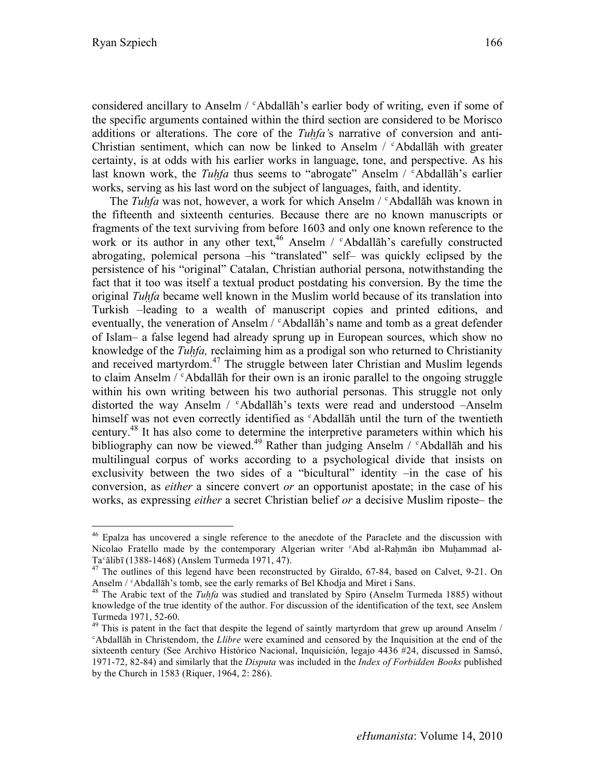considered ancillary to Anselm  $/$   $\alpha$ bdallah's earlier body of writing, even if some of the specific arguments contained within the third section are considered to be Morisco additions or alterations. The core of the *Tuḥfa'*s narrative of conversion and anti-Christian sentiment, which can now be linked to Anselm / ʿAbdallāh with greater certainty, is at odds with his earlier works in language, tone, and perspective. As his last known work, the *Tuhfa* thus seems to "abrogate" Anselm / <sup>c</sup>Abdallāh's earlier works, serving as his last word on the subject of languages, faith, and identity.

The *Tuḥfa* was not, however, a work for which Anselm / ʿAbdallāh was known in the fifteenth and sixteenth centuries. Because there are no known manuscripts or fragments of the text surviving from before 1603 and only one known reference to the work or its author in any other text,<sup>46</sup> Anselm /  $\epsilon$ Abdallāh's carefully constructed abrogating, polemical persona –his "translated" self– was quickly eclipsed by the persistence of his "original" Catalan, Christian authorial persona, notwithstanding the fact that it too was itself a textual product postdating his conversion. By the time the original *Tuḥfa* became well known in the Muslim world because of its translation into Turkish –leading to a wealth of manuscript copies and printed editions, and eventually, the veneration of Anselm /  $\textdegree$  Abdallāh's name and tomb as a great defender of Islam– a false legend had already sprung up in European sources, which show no knowledge of the *Tuḥfa,* reclaiming him as a prodigal son who returned to Christianity and received martyrdom.<sup>47</sup> The struggle between later Christian and Muslim legends to claim Anselm  $\ell$ <sup>c</sup> Abdallah for their own is an ironic parallel to the ongoing struggle within his own writing between his two authorial personas. This struggle not only distorted the way Anselm /  $c$ Abdallāh's texts were read and understood -Anselm himself was not even correctly identified as "Abdallah until the turn of the twentieth century.<sup>48</sup> It has also come to determine the interpretive parameters within which his bibliography can now be viewed.<sup>49</sup> Rather than judging Anselm /  $\epsilon$ Abdallāh and his multilingual corpus of works according to a psychological divide that insists on exclusivity between the two sides of a "bicultural" identity –in the case of his conversion, as *either* a sincere convert *or* an opportunist apostate; in the case of his works, as expressing *either* a secret Christian belief *or* a decisive Muslim riposte– the

<sup>&</sup>lt;sup>46</sup> Epalza has uncovered a single reference to the anecdote of the Paraclete and the discussion with Nicolao Fratello made by the contemporary Algerian writer *Abd al-Rahmān ibn Muhammad al-*

Ta $^{\circ}$ ālibī (1388-1468) (Anslem Turmeda 1971, 47).<br><sup>47</sup> The outlines of this legend have been reconstructed by Giraldo, 67-84, based on Calvet, 9-21. On Anselm / °Abdallāh's tomb, see the early remarks of Bel Khodja and Miret i Sans.<br><sup>48</sup> The Arabic text of the *Tuhfa* was studied and translated by Spiro (Anselm Turmeda 1885) without

knowledge of the true identity of the author. For discussion of the identification of the text, see Anslem

Turmeda 1971, 52-60.<br> $49$  This is patent in the fact that despite the legend of saintly martyrdom that grew up around Anselm / ʿAbdallāh in Christendom, the *Llibre* were examined and censored by the Inquisition at the end of the sixteenth century (See Archivo Histórico Nacional, Inquisición, legajo 4436 #24, discussed in Samsó, 1971-72, 82-84) and similarly that the *Disputa* was included in the *Index of Forbidden Books* published by the Church in 1583 (Riquer, 1964, 2: 286).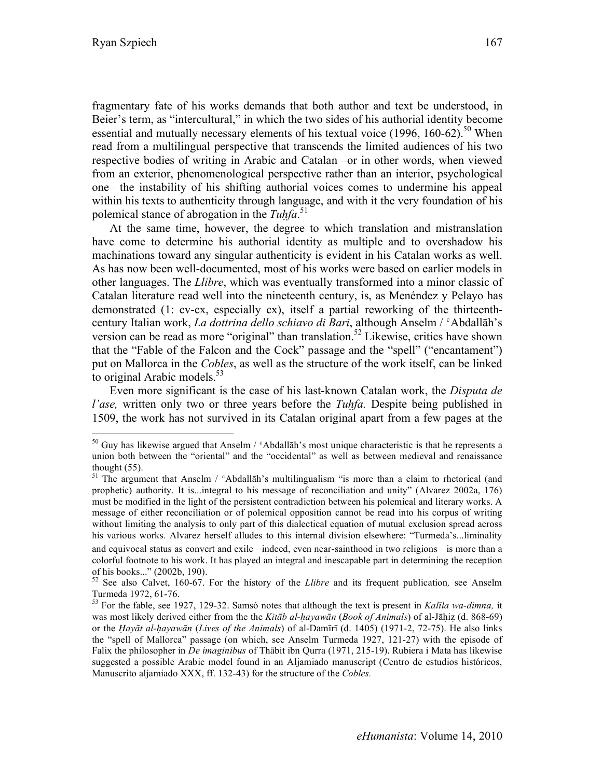fragmentary fate of his works demands that both author and text be understood, in Beier's term, as "intercultural," in which the two sides of his authorial identity become essential and mutually necessary elements of his textual voice (1996, 160-62).<sup>50</sup> When read from a multilingual perspective that transcends the limited audiences of his two respective bodies of writing in Arabic and Catalan –or in other words, when viewed from an exterior, phenomenological perspective rather than an interior, psychological one– the instability of his shifting authorial voices comes to undermine his appeal within his texts to authenticity through language, and with it the very foundation of his polemical stance of abrogation in the *Tuḥfa*. 51

At the same time, however, the degree to which translation and mistranslation have come to determine his authorial identity as multiple and to overshadow his machinations toward any singular authenticity is evident in his Catalan works as well. As has now been well-documented, most of his works were based on earlier models in other languages. The *Llibre*, which was eventually transformed into a minor classic of Catalan literature read well into the nineteenth century, is, as Menéndez y Pelayo has demonstrated (1: cv-cx, especially cx), itself a partial reworking of the thirteenthcentury Italian work, *La dottrina dello schiavo di Bari*, although Anselm / ʿAbdallāh's version can be read as more "original" than translation.<sup>52</sup> Likewise, critics have shown that the "Fable of the Falcon and the Cock" passage and the "spell" ("encantament") put on Mallorca in the *Cobles*, as well as the structure of the work itself, can be linked to original Arabic models.<sup>53</sup>

Even more significant is the case of his last-known Catalan work, the *Disputa de l'ase,* written only two or three years before the *Tuḥfa.* Despite being published in 1509, the work has not survived in its Catalan original apart from a few pages at the

 $50$  Guy has likewise argued that Anselm /  $\textdegree$ Abdallāh's most unique characteristic is that he represents a union both between the "oriental" and the "occidental" as well as between medieval and renaissance thought (55).

 $51$  The argument that Anselm /  $c$ Abdallāh's multilingualism "is more than a claim to rhetorical (and prophetic) authority. It is...integral to his message of reconciliation and unity" (Alvarez 2002a, 176) must be modified in the light of the persistent contradiction between his polemical and literary works. A message of either reconciliation or of polemical opposition cannot be read into his corpus of writing without limiting the analysis to only part of this dialectical equation of mutual exclusion spread across his various works. Alvarez herself alludes to this internal division elsewhere: "Turmeda's...liminality and equivocal status as convert and exile –indeed, even near-sainthood in two religions– is more than a colorful footnote to his work. It has played an integral and inescapable part in determining the reception

of his books..." (2002b, 190). 52 See also Calvet, 160-67. For the history of the *Llibre* and its frequent publication*,* see Anselm Turmeda 1972, 61-76. 53 For the fable, see 1927, 129-32. Samsó notes that although the text is present in *Kalīla wa-dimna,* it

was most likely derived either from the the *Kitāb al-hayawān* (*Book of Animals*) of al-Jāhiz (d. 868-69) or the *Ḥayāt al-ḥayawān* (*Lives of the Animals*) of al-Damīrī (d. 1405) (1971-2, 72-75). He also links the "spell of Mallorca" passage (on which, see Anselm Turmeda 1927, 121-27) with the episode of Falix the philosopher in *De imaginibus* of Thābit ibn Qurra (1971, 215-19). Rubiera i Mata has likewise suggested a possible Arabic model found in an Aljamiado manuscript (Centro de estudios históricos, Manuscrito aljamiado XXX, ff. 132-43) for the structure of the *Cobles.*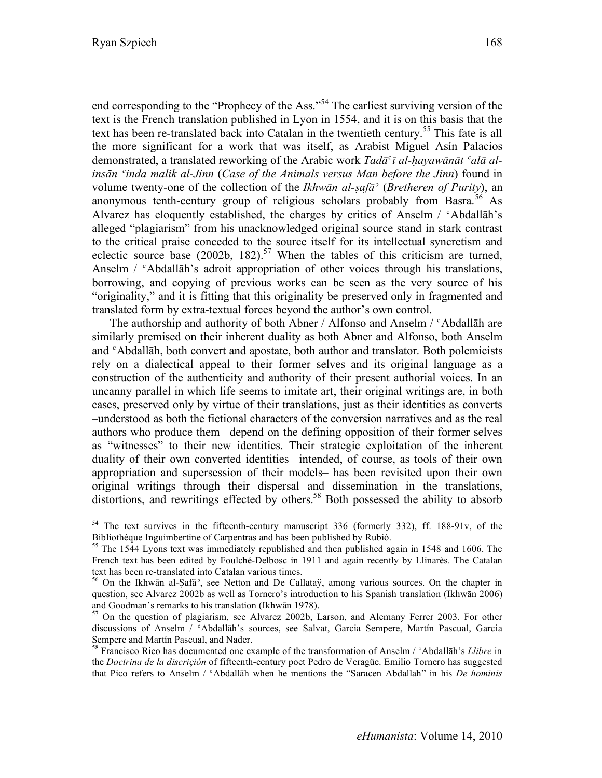end corresponding to the "Prophecy of the Ass."<sup>54</sup> The earliest surviving version of the text is the French translation published in Lyon in 1554, and it is on this basis that the text has been re-translated back into Catalan in the twentieth century.<sup>55</sup> This fate is all the more significant for a work that was itself, as Arabist Miguel Asín Palacios demonstrated, a translated reworking of the Arabic work *Tadā*ʿ*ī al-ḥayawānāt ʿalā alinsān ʿinda malik al-Jinn* (*Case of the Animals versus Man before the Jinn*) found in volume twenty-one of the collection of the *Ikhwān al-ṣafāʾ* (*Bretheren of Purity*), an anonymous tenth-century group of religious scholars probably from Basra.<sup>56</sup> As Alvarez has eloquently established, the charges by critics of Anselm /  $\epsilon$ Abdall $\bar{a}$ h's alleged "plagiarism" from his unacknowledged original source stand in stark contrast to the critical praise conceded to the source itself for its intellectual syncretism and eclectic source base  $(2002b, 182)$ .<sup>57</sup> When the tables of this criticism are turned, Anselm /  $\epsilon$ Abdallāh's adroit appropriation of other voices through his translations, borrowing, and copying of previous works can be seen as the very source of his "originality," and it is fitting that this originality be preserved only in fragmented and translated form by extra-textual forces beyond the author's own control.

The authorship and authority of both Abner / Alfonso and Anselm / *c*Abdallah are similarly premised on their inherent duality as both Abner and Alfonso, both Anselm and ʿAbdallāh, both convert and apostate, both author and translator. Both polemicists rely on a dialectical appeal to their former selves and its original language as a construction of the authenticity and authority of their present authorial voices. In an uncanny parallel in which life seems to imitate art, their original writings are, in both cases, preserved only by virtue of their translations, just as their identities as converts –understood as both the fictional characters of the conversion narratives and as the real authors who produce them– depend on the defining opposition of their former selves as "witnesses" to their new identities. Their strategic exploitation of the inherent duality of their own converted identities –intended, of course, as tools of their own appropriation and supersession of their models– has been revisited upon their own original writings through their dispersal and dissemination in the translations, distortions, and rewritings effected by others.<sup>58</sup> Both possessed the ability to absorb

 <sup>54</sup> The text survives in the fifteenth-century manuscript 336 (formerly 332), ff. 188-91v, of the Bibliothèque Inguimbertine of Carpentras and has been published by Rubió.<br><sup>55</sup> The 1544 Lyons text was immediately republished and then published again in 1548 and 1606. The

French text has been edited by Foulché-Delbosc in 1911 and again recently by Llinarès. The Catalan text has been re-translated into Catalan various times.<br><sup>56</sup> On the Ikhwān al-Ṣafā<sup>3</sup>, see Netton and De Callataÿ, among various sources. On the chapter in

question, see Alvarez 2002b as well as Tornero's introduction to his Spanish translation (Ikhwān 2006) and Goodman's remarks to his translation (Ikhwān 1978).<br><sup>57</sup> On the question of plagiarism, see Alvarez 2002b, Larson, and Alemany Ferrer 2003. For other

discussions of Anselm / ʿAbdallāh's sources, see Salvat, Garcia Sempere, Martín Pascual, Garcia Sempere and Martín Pascual, and Nader.

<sup>58</sup> Francisco Rico has documented one example of the transformation of Anselm / ʿAbdallāh's *Llibre* in the *Doctrina de la discriçión* of fifteenth-century poet Pedro de Veragüe. Emilio Tornero has suggested that Pico refers to Anselm / ʿAbdallāh when he mentions the "Saracen Abdallah" in his *De hominis*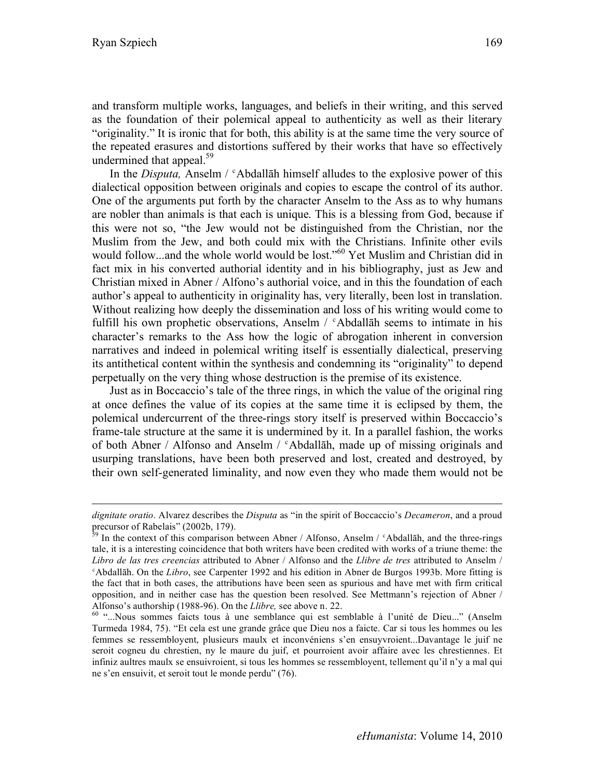$\overline{a}$ 

and transform multiple works, languages, and beliefs in their writing, and this served as the foundation of their polemical appeal to authenticity as well as their literary "originality." It is ironic that for both, this ability is at the same time the very source of the repeated erasures and distortions suffered by their works that have so effectively undermined that appeal.<sup>59</sup>

In the *Disputa*, Anselm /  $\epsilon$ Abdallah himself alludes to the explosive power of this dialectical opposition between originals and copies to escape the control of its author. One of the arguments put forth by the character Anselm to the Ass as to why humans are nobler than animals is that each is unique. This is a blessing from God, because if this were not so, "the Jew would not be distinguished from the Christian, nor the Muslim from the Jew, and both could mix with the Christians. Infinite other evils would follow...and the whole world would be lost."<sup>60</sup> Yet Muslim and Christian did in fact mix in his converted authorial identity and in his bibliography, just as Jew and Christian mixed in Abner / Alfono's authorial voice, and in this the foundation of each author's appeal to authenticity in originality has, very literally, been lost in translation. Without realizing how deeply the dissemination and loss of his writing would come to fulfill his own prophetic observations, Anselm / ʿAbdallāh seems to intimate in his character's remarks to the Ass how the logic of abrogation inherent in conversion narratives and indeed in polemical writing itself is essentially dialectical, preserving its antithetical content within the synthesis and condemning its "originality" to depend perpetually on the very thing whose destruction is the premise of its existence.

Just as in Boccaccio's tale of the three rings, in which the value of the original ring at once defines the value of its copies at the same time it is eclipsed by them, the polemical undercurrent of the three-rings story itself is preserved within Boccaccio's frame-tale structure at the same it is undermined by it. In a parallel fashion, the works of both Abner / Alfonso and Anselm / ʿAbdallāh, made up of missing originals and usurping translations, have been both preserved and lost, created and destroyed, by their own self-generated liminality, and now even they who made them would not be

*dignitate oratio.* Alvarez describes the *Disputa* as "in the spirit of Boccaccio's *Decameron*, and a proud

precursor of Rabelais" (2002b, 179).<br><sup>59</sup> In the context of this comparison between Abner / Alfonso, Anselm / <sup>c</sup>Abdallāh, and the three-rings tale, it is a interesting coincidence that both writers have been credited with works of a triune theme: the *Libro de las tres creencias* attributed to Abner / Alfonso and the *Llibre de tres* attributed to Anselm / ʿAbdallāh. On the *Libro*, see Carpenter 1992 and his edition in Abner de Burgos 1993b. More fitting is the fact that in both cases, the attributions have been seen as spurious and have met with firm critical opposition, and in neither case has the question been resolved. See Mettmann's rejection of Abner / Alfonso's authorship (1988-96). On the *Llibre*, see above n. 22.<br><sup>60</sup> "...Nous sommes faicts tous à une semblance qui est semblable à l'unité de Dieu..." (Anselm

Turmeda 1984, 75). "Et cela est une grande grâce que Dieu nos a faicte. Car si tous les hommes ou les femmes se ressembloyent, plusieurs maulx et inconvéniens s'en ensuyvroient...Davantage le juif ne seroit cogneu du chrestien, ny le maure du juif, et pourroient avoir affaire avec les chrestiennes. Et infiniz aultres maulx se ensuivroient, si tous les hommes se ressembloyent, tellement qu'il n'y a mal qui ne s'en ensuivit, et seroit tout le monde perdu" (76).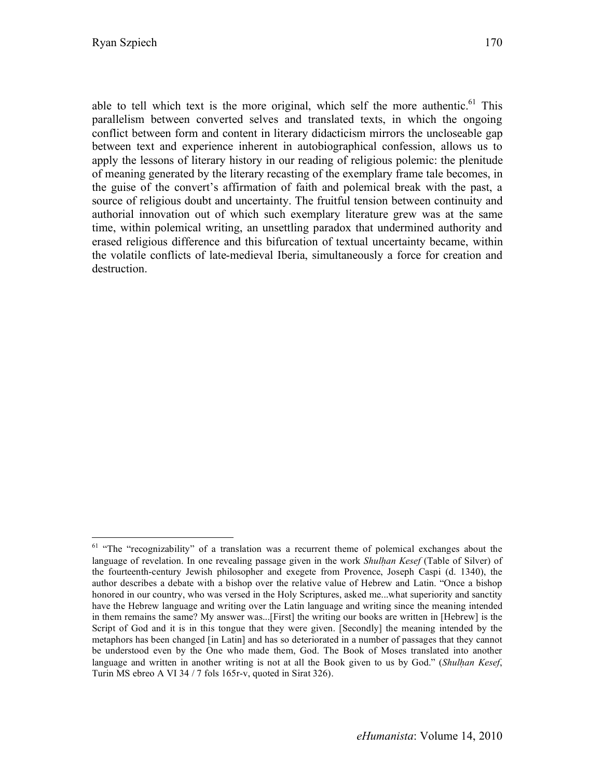able to tell which text is the more original, which self the more authentic.<sup>61</sup> This parallelism between converted selves and translated texts, in which the ongoing conflict between form and content in literary didacticism mirrors the uncloseable gap between text and experience inherent in autobiographical confession, allows us to apply the lessons of literary history in our reading of religious polemic: the plenitude of meaning generated by the literary recasting of the exemplary frame tale becomes, in the guise of the convert's affirmation of faith and polemical break with the past, a source of religious doubt and uncertainty. The fruitful tension between continuity and authorial innovation out of which such exemplary literature grew was at the same time, within polemical writing, an unsettling paradox that undermined authority and erased religious difference and this bifurcation of textual uncertainty became, within the volatile conflicts of late-medieval Iberia, simultaneously a force for creation and destruction.

<sup>&</sup>lt;sup>61</sup> "The "recognizability" of a translation was a recurrent theme of polemical exchanges about the language of revelation. In one revealing passage given in the work *Shulḥan Kesef* (Table of Silver) of the fourteenth-century Jewish philosopher and exegete from Provence, Joseph Caspi (d. 1340), the author describes a debate with a bishop over the relative value of Hebrew and Latin. "Once a bishop honored in our country, who was versed in the Holy Scriptures, asked me...what superiority and sanctity have the Hebrew language and writing over the Latin language and writing since the meaning intended in them remains the same? My answer was...[First] the writing our books are written in [Hebrew] is the Script of God and it is in this tongue that they were given. [Secondly] the meaning intended by the metaphors has been changed [in Latin] and has so deteriorated in a number of passages that they cannot be understood even by the One who made them, God. The Book of Moses translated into another language and written in another writing is not at all the Book given to us by God." (*Shulhan Kesef*, Turin MS ebreo A VI 34 / 7 fols 165r-v, quoted in Sirat 326).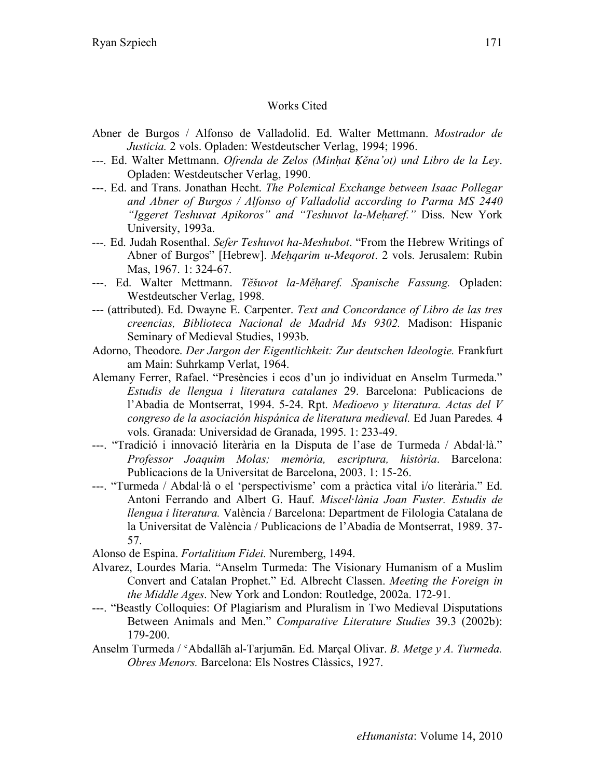# Works Cited

- Abner de Burgos / Alfonso de Valladolid. Ed. Walter Mettmann. *Mostrador de Justicia.* 2 vols. Opladen: Westdeutscher Verlag, 1994; 1996.
- *---.* Ed. Walter Mettmann. *Ofrenda de Zelos (Minḥat Ḳěna'ot) und Libro de la Ley*. Opladen: Westdeutscher Verlag, 1990.
- ---. Ed. and Trans. Jonathan Hecht. *The Polemical Exchange between Isaac Pollegar and Abner of Burgos / Alfonso of Valladolid according to Parma MS 2440 "Iggeret Teshuvat Apikoros" and "Teshuvot la-Meharef."* Diss. New York University, 1993a.
- *---.* Ed. Judah Rosenthal. *Sefer Teshuvot ha-Meshubot*. "From the Hebrew Writings of Abner of Burgos" [Hebrew]. *Meḥqarim u-Meqorot*. 2 vols. Jerusalem: Rubin Mas, 1967. 1: 324-67.
- ---. Ed. Walter Mettmann. *Tĕšuvot la-Měḥaref. Spanische Fassung.* Opladen: Westdeutscher Verlag, 1998.
- --- (attributed). Ed. Dwayne E. Carpenter. *Text and Concordance of Libro de las tres creencias, Biblioteca Nacional de Madrid Ms 9302.* Madison: Hispanic Seminary of Medieval Studies, 1993b.
- Adorno, Theodore. *Der Jargon der Eigentlichkeit: Zur deutschen Ideologie.* Frankfurt am Main: Suhrkamp Verlat, 1964.
- Alemany Ferrer, Rafael. "Presències i ecos d'un jo individuat en Anselm Turmeda." *Estudis de llengua i literatura catalanes* 29. Barcelona: Publicacions de l'Abadia de Montserrat, 1994. 5-24. Rpt. *Medioevo y literatura. Actas del V congreso de la asociación hispánica de literatura medieval.* Ed Juan Paredes*.* 4 vols. Granada: Universidad de Granada, 1995. 1: 233-49.
- ---. "Tradició i innovació literària en la Disputa de l'ase de Turmeda / Abdal·là." *Professor Joaquim Molas; memòria, escriptura, història*. Barcelona: Publicacions de la Universitat de Barcelona, 2003. 1: 15-26.
- ---. "Turmeda / Abdal·là o el 'perspectivisme' com a pràctica vital i/o literària." Ed. Antoni Ferrando and Albert G. Hauf. *Miscel·lània Joan Fuster. Estudis de llengua i literatura.* València / Barcelona: Department de Filologia Catalana de la Universitat de València / Publicacions de l'Abadia de Montserrat, 1989. 37- 57.

Alonso de Espina. *Fortalitium Fidei.* Nuremberg, 1494.

- Alvarez, Lourdes Maria. "Anselm Turmeda: The Visionary Humanism of a Muslim Convert and Catalan Prophet." Ed. Albrecht Classen. *Meeting the Foreign in the Middle Ages*. New York and London: Routledge, 2002a. 172-91.
- ---. "Beastly Colloquies: Of Plagiarism and Pluralism in Two Medieval Disputations Between Animals and Men." *Comparative Literature Studies* 39.3 (2002b): 179-200.
- Anselm Turmeda / ʿAbdallāh al-Tarjumān. Ed. Marçal Olivar. *B. Metge y A. Turmeda. Obres Menors.* Barcelona: Els Nostres Clàssics, 1927.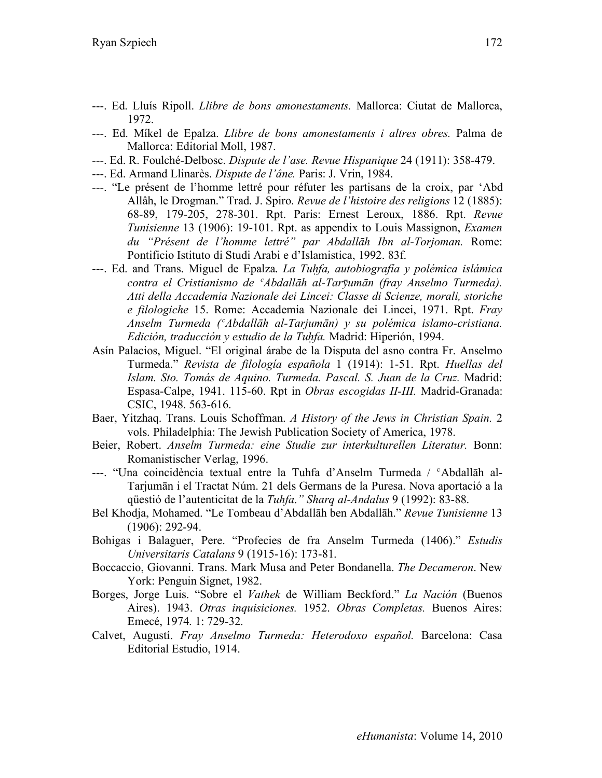- ---. Ed. Lluís Ripoll. *Llibre de bons amonestaments.* Mallorca: Ciutat de Mallorca, 1972.
- ---. Ed. Míkel de Epalza. *Llibre de bons amonestaments i altres obres.* Palma de Mallorca: Editorial Moll, 1987.
- ---. Ed. R. Foulché-Delbosc. *Dispute de l'ase. Revue Hispanique* 24 (1911): 358-479.
- ---. Ed. Armand Llinarès. *Dispute de l'âne.* Paris: J. Vrin, 1984.
- ---. "Le présent de l'homme lettré pour réfuter les partisans de la croix, par 'Abd Allâh, le Drogman." Trad. J. Spiro. *Revue de l'histoire des religions* 12 (1885): 68-89, 179-205, 278-301. Rpt. Paris: Ernest Leroux, 1886. Rpt. *Revue Tunisienne* 13 (1906): 19-101. Rpt. as appendix to Louis Massignon, *Examen du "Présent de l'homme lettré" par Abdallāh Ibn al-Torjoman.* Rome: Pontificio Istituto di Studi Arabi e d'Islamistica, 1992. 83f.
- ---. Ed. and Trans. Miguel de Epalza. *La Tuḥfa, autobiografía y polémica islámica contra el Cristianismo de ʿAbdallāh al-Tarȳumān (fray Anselmo Turmeda). Atti della Accademia Nazionale dei Lincei: Classe di Scienze, morali, storiche e filologiche* 15. Rome: Accademia Nazionale dei Lincei, 1971. Rpt. *Fray Anselm Turmeda (ʿAbdallāh al-Tarjumān) y su polémica islamo-cristiana. Edición, traducción y estudio de la Tuḥfa.* Madrid: Hiperión, 1994.
- Asín Palacios, Miguel. "El original árabe de la Disputa del asno contra Fr. Anselmo Turmeda." *Revista de filología española* 1 (1914): 1-51. Rpt. *Huellas del Islam. Sto. Tomás de Aquino. Turmeda. Pascal. S. Juan de la Cruz.* Madrid: Espasa-Calpe, 1941. 115-60. Rpt in *Obras escogidas II-III.* Madrid-Granada: CSIC, 1948. 563-616.
- Baer, Yitzhaq. Trans. Louis Schoffman. *A History of the Jews in Christian Spain.* 2 vols. Philadelphia: The Jewish Publication Society of America, 1978.
- Beier, Robert. *Anselm Turmeda: eine Studie zur interkulturellen Literatur.* Bonn: Romanistischer Verlag, 1996.
- ---. "Una coincidència textual entre la Tuhfa d'Anselm Turmeda / ʿAbdallāh al-Tarjumān i el Tractat Núm. 21 dels Germans de la Puresa. Nova aportació a la qüestió de l'autenticitat de la *Tuhfa*.*" Sharq al-Andalus* 9 (1992): 83-88.
- Bel Khodja, Mohamed. "Le Tombeau d'Abdallāh ben Abdallāh." *Revue Tunisienne* 13 (1906): 292-94.
- Bohigas i Balaguer, Pere. "Profecies de fra Anselm Turmeda (1406)." *Estudis Universitaris Catalans* 9 (1915-16): 173-81.
- Boccaccio, Giovanni. Trans. Mark Musa and Peter Bondanella. *The Decameron*. New York: Penguin Signet, 1982.
- Borges, Jorge Luis. "Sobre el *Vathek* de William Beckford." *La Nación* (Buenos Aires). 1943. *Otras inquisiciones.* 1952. *Obras Completas.* Buenos Aires: Emecé, 1974. 1: 729-32.
- Calvet, Augustí. *Fray Anselmo Turmeda: Heterodoxo español.* Barcelona: Casa Editorial Estudio, 1914.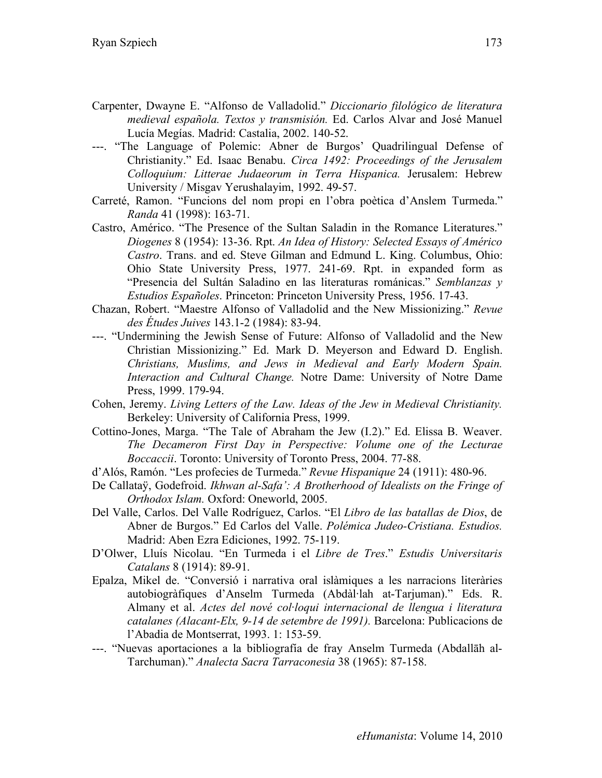- Carpenter, Dwayne E. "Alfonso de Valladolid." *Diccionario filológico de literatura medieval española. Textos y transmisión.* Ed. Carlos Alvar and José Manuel Lucía Megías. Madrid: Castalia, 2002. 140-52.
- ---. "The Language of Polemic: Abner de Burgos' Quadrilingual Defense of Christianity." Ed. Isaac Benabu. *Circa 1492: Proceedings of the Jerusalem Colloquium: Litterae Judaeorum in Terra Hispanica.* Jerusalem: Hebrew University / Misgav Yerushalayim, 1992. 49-57.
- Carreté, Ramon. "Funcions del nom propi en l'obra poètica d'Anslem Turmeda." *Randa* 41 (1998): 163-71.
- Castro, Américo. "The Presence of the Sultan Saladin in the Romance Literatures." *Diogenes* 8 (1954): 13-36. Rpt. *An Idea of History: Selected Essays of Américo Castro*. Trans. and ed. Steve Gilman and Edmund L. King. Columbus, Ohio: Ohio State University Press, 1977. 241-69. Rpt. in expanded form as "Presencia del Sultán Saladino en las literaturas románicas." *Semblanzas y Estudios Españoles*. Princeton: Princeton University Press, 1956. 17-43.
- Chazan, Robert. "Maestre Alfonso of Valladolid and the New Missionizing." *Revue des Études Juives* 143.1-2 (1984): 83-94.
- ---. "Undermining the Jewish Sense of Future: Alfonso of Valladolid and the New Christian Missionizing." Ed. Mark D. Meyerson and Edward D. English. *Christians, Muslims, and Jews in Medieval and Early Modern Spain. Interaction and Cultural Change.* Notre Dame: University of Notre Dame Press, 1999. 179-94.
- Cohen, Jeremy. *Living Letters of the Law. Ideas of the Jew in Medieval Christianity.*  Berkeley: University of California Press, 1999.
- Cottino-Jones, Marga. "The Tale of Abraham the Jew (I.2)." Ed. Elissa B. Weaver. *The Decameron First Day in Perspective: Volume one of the Lecturae Boccaccii*. Toronto: University of Toronto Press, 2004. 77-88.
- d'Alós, Ramón. "Les profecies de Turmeda." *Revue Hispanique* 24 (1911): 480-96.
- De Callataÿ, Godefroid. *Ikhwan al-Safa': A Brotherhood of Idealists on the Fringe of Orthodox Islam.* Oxford: Oneworld, 2005.
- Del Valle, Carlos. Del Valle Rodríguez, Carlos. "El *Libro de las batallas de Dios*, de Abner de Burgos." Ed Carlos del Valle. *Polémica Judeo-Cristiana. Estudios.*  Madrid: Aben Ezra Ediciones, 1992. 75-119.
- D'Olwer, Lluís Nicolau. "En Turmeda i el *Libre de Tres*." *Estudis Universitaris Catalans* 8 (1914): 89-91.
- Epalza, Mikel de. "Conversió i narrativa oral islàmiques a les narracions literàries autobiogràfiques d'Anselm Turmeda (Abdàl·lah at-Tarjuman)." Eds. R. Almany et al. *Actes del nové col*·*loqui internacional de llengua i literatura catalanes (Alacant-Elx, 9-14 de setembre de 1991).* Barcelona: Publicacions de l'Abadia de Montserrat, 1993. 1: 153-59.
- ---. "Nuevas aportaciones a la bibliografía de fray Anselm Turmeda (Abdallāh al-Tarchuman)." *Analecta Sacra Tarraconesia* 38 (1965): 87-158.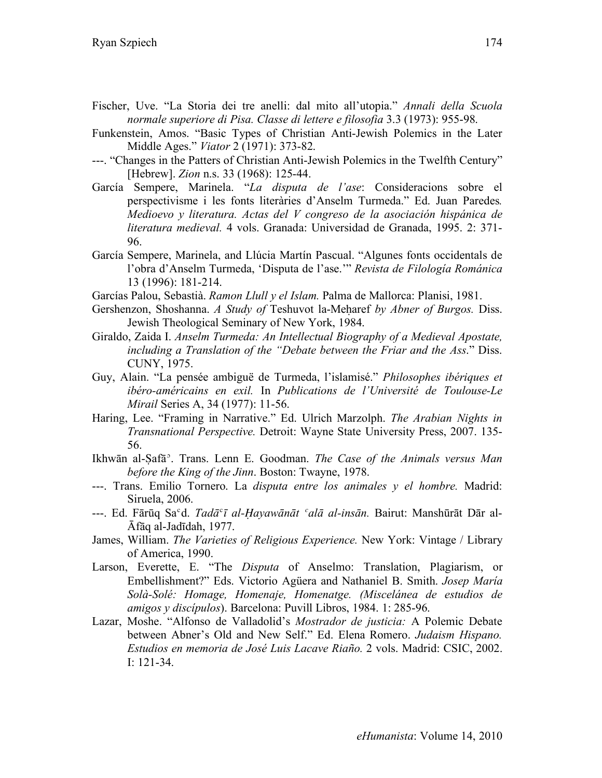- Fischer, Uve. "La Storia dei tre anelli: dal mito all'utopia." *Annali della Scuola normale superiore di Pisa. Classe di lettere e filosofia* 3.3 (1973): 955-98.
- Funkenstein, Amos. "Basic Types of Christian Anti-Jewish Polemics in the Later Middle Ages." *Viator* 2 (1971): 373-82.
- ---. "Changes in the Patters of Christian Anti-Jewish Polemics in the Twelfth Century" [Hebrew]. *Zion* n.s. 33 (1968): 125-44.
- García Sempere, Marinela. "*La disputa de l'ase*: Consideracions sobre el perspectivisme i les fonts literàries d'Anselm Turmeda." Ed. Juan Paredes*. Medioevo y literatura. Actas del V congreso de la asociación hispánica de literatura medieval.* 4 vols. Granada: Universidad de Granada, 1995. 2: 371- 96.
- García Sempere, Marinela, and Llúcia Martín Pascual. "Algunes fonts occidentals de l'obra d'Anselm Turmeda, 'Disputa de l'ase.'" *Revista de Filología Románica*  13 (1996): 181-214.
- Garcías Palou, Sebastià. *Ramon Llull y el Islam.* Palma de Mallorca: Planisi, 1981.
- Gershenzon, Shoshanna. *A Study of* Teshuvot la-Meḥaref *by Abner of Burgos.* Diss. Jewish Theological Seminary of New York, 1984.
- Giraldo, Zaida I. *Anselm Turmeda: An Intellectual Biography of a Medieval Apostate, including a Translation of the "Debate between the Friar and the Ass*." Diss. CUNY, 1975.
- Guy, Alain. "La pensée ambiguë de Turmeda, l'islamisé." *Philosophes ibériques et ibéro-américains en exil.* In *Publications de l'Université de Toulouse-Le Mirail* Series A, 34 (1977): 11-56.
- Haring, Lee. "Framing in Narrative." Ed. Ulrich Marzolph. *The Arabian Nights in Transnational Perspective.* Detroit: Wayne State University Press, 2007. 135- 56.
- Ikhwān al-Ṣafāʾ. Trans. Lenn E. Goodman. *The Case of the Animals versus Man before the King of the Jinn*. Boston: Twayne, 1978.
- ---. Trans. Emilio Tornero. La *disputa entre los animales y el hombre.* Madrid: Siruela, 2006.
- ---. Ed. Fārūq Saʿd. *Tadā*ʿ*ī al-Ḥayawānāt ʿalā al-insān.* Bairut: Manshūrāt Dār al-Āfāq al-Jadīdah, 1977.
- James, William. *The Varieties of Religious Experience.* New York: Vintage / Library of America, 1990.
- Larson, Everette, E. "The *Disputa* of Anselmo: Translation, Plagiarism, or Embellishment?" Eds. Victorio Agüera and Nathaniel B. Smith. *Josep María Solà-Solé: Homage, Homenaje, Homenatge. (Miscelánea de estudios de amigos y discípulos*). Barcelona: Puvill Libros, 1984. 1: 285-96.
- Lazar, Moshe. "Alfonso de Valladolid's *Mostrador de justicia:* A Polemic Debate between Abner's Old and New Self." Ed. Elena Romero. *Judaism Hispano. Estudios en memoria de José Luis Lacave Riaño.* 2 vols. Madrid: CSIC, 2002. I: 121-34.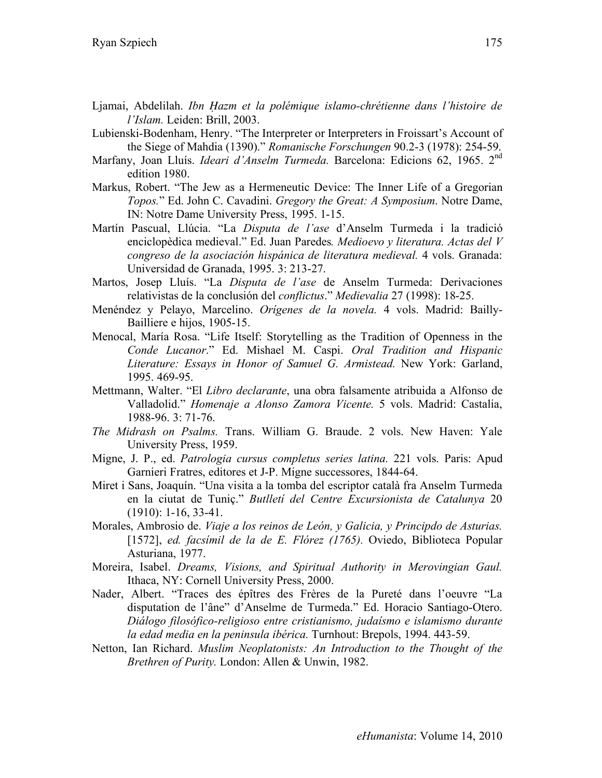- Ljamai, Abdelilah. *Ibn Ḥazm et la polémique islamo-chrétienne dans l'histoire de l'Islam.* Leiden: Brill, 2003.
- Lubienski-Bodenham, Henry. "The Interpreter or Interpreters in Froissart's Account of the Siege of Mahdia (1390)." *Romanische Forschungen* 90.2-3 (1978): 254-59.
- Marfany, Joan Lluís. *Ideari d'Anselm Turmeda.* Barcelona: Edicions 62, 1965. 2nd edition 1980.
- Markus, Robert. "The Jew as a Hermeneutic Device: The Inner Life of a Gregorian *Topos.*" Ed. John C. Cavadini. *Gregory the Great: A Symposium*. Notre Dame, IN: Notre Dame University Press, 1995. 1-15.
- Martín Pascual, Llúcia. "La *Disputa de l'ase* d'Anselm Turmeda i la tradició enciclopèdica medieval." Ed. Juan Paredes*. Medioevo y literatura. Actas del V congreso de la asociación hispánica de literatura medieval.* 4 vols. Granada: Universidad de Granada, 1995. 3: 213-27.
- Martos, Josep Lluís. "La *Disputa de l'ase* de Anselm Turmeda: Derivaciones relativistas de la conclusión del *conflictus*." *Medievalia* 27 (1998): 18-25.
- Menéndez y Pelayo, Marcelino. *Orígenes de la novela.* 4 vols. Madrid: Bailly-Bailliere e hijos, 1905-15.
- Menocal, María Rosa. "Life Itself: Storytelling as the Tradition of Openness in the *Conde Lucanor*." Ed. Mishael M. Caspi. *Oral Tradition and Hispanic Literature: Essays in Honor of Samuel G. Armistead.* New York: Garland, 1995. 469-95.
- Mettmann, Walter. "El *Libro declarante*, una obra falsamente atribuida a Alfonso de Valladolid." *Homenaje a Alonso Zamora Vicente.* 5 vols. Madrid: Castalia, 1988-96. 3: 71-76.
- *The Midrash on Psalms.* Trans. William G. Braude. 2 vols. New Haven: Yale University Press, 1959.
- Migne, J. P., ed. *Patrologia cursus completus series latina.* 221 vols. Paris: Apud Garnieri Fratres, editores et J-P. Migne successores, 1844-64.
- Miret i Sans, Joaquín. "Una visita a la tomba del escriptor català fra Anselm Turmeda en la ciutat de Tuniç." *Butlletí del Centre Excursionista de Catalunya* 20 (1910): 1-16, 33-41.
- Morales, Ambrosio de. *Viaje a los reinos de León, y Galicia, y Principdo de Asturias.* [1572], *ed. facsímil de la de E. Flórez (1765).* Oviedo, Biblioteca Popular Asturiana, 1977.
- Moreira, Isabel. *Dreams, Visions, and Spiritual Authority in Merovingian Gaul.*  Ithaca, NY: Cornell University Press, 2000.
- Nader, Albert. "Traces des épîtres des Frères de la Pureté dans l'oeuvre "La disputation de l'âne" d'Anselme de Turmeda." Ed. Horacio Santiago-Otero. *Diálogo filosófico-religioso entre cristianismo, judaísmo e islamismo durante la edad media en la peninsula ibérica.* Turnhout: Brepols, 1994. 443-59.
- Netton, Ian Richard. *Muslim Neoplatonists: An Introduction to the Thought of the Brethren of Purity.* London: Allen & Unwin, 1982.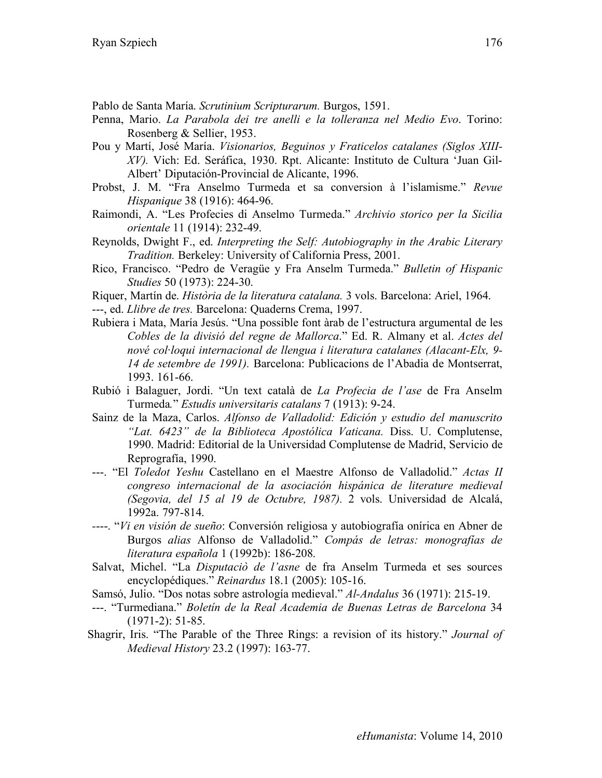Pablo de Santa María. *Scrutinium Scripturarum.* Burgos, 1591.

- Penna, Mario. *La Parabola dei tre anelli e la tolleranza nel Medio Evo*. Torino: Rosenberg & Sellier, 1953.
- Pou y Martí, José María. *Visionarios, Beguinos y Fraticelos catalanes (Siglos XIII-XV).* Vich: Ed. Seráfica, 1930. Rpt. Alicante: Instituto de Cultura 'Juan Gil-Albert' Diputación-Provincial de Alicante, 1996.
- Probst, J. M. "Fra Anselmo Turmeda et sa conversion à l'islamisme." *Revue Hispanique* 38 (1916): 464-96.
- Raimondi, A. "Les Profecies di Anselmo Turmeda." *Archivio storico per la Sicilia orientale* 11 (1914): 232-49.
- Reynolds, Dwight F., ed. *Interpreting the Self: Autobiography in the Arabic Literary Tradition.* Berkeley: University of California Press, 2001.
- Rico, Francisco. "Pedro de Veragüe y Fra Anselm Turmeda." *Bulletin of Hispanic Studies* 50 (1973): 224-30.
- Riquer, Martín de. *Història de la literatura catalana.* 3 vols. Barcelona: Ariel, 1964.

---, ed. *Llibre de tres.* Barcelona: Quaderns Crema, 1997.

- Rubiera i Mata, María Jesús. "Una possible font àrab de l'estructura argumental de les *Cobles de la divisió del regne de Mallorca*." Ed. R. Almany et al. *Actes del nové col*·*loqui internacional de llengua i literatura catalanes (Alacant-Elx, 9- 14 de setembre de 1991).* Barcelona: Publicacions de l'Abadia de Montserrat, 1993. 161-66.
- Rubió i Balaguer, Jordi. "Un text català de *La Profecia de l'ase* de Fra Anselm Turmeda*.*" *Estudis universitaris catalans* 7 (1913): 9-24.
- Sainz de la Maza, Carlos. *Alfonso de Valladolid: Edición y estudio del manuscrito "Lat. 6423" de la Biblioteca Apostólica Vaticana.* Diss. U. Complutense, 1990. Madrid: Editorial de la Universidad Complutense de Madrid, Servicio de Reprografía, 1990.
- ---. "El *Toledot Yeshu* Castellano en el Maestre Alfonso de Valladolid." *Actas II congreso internacional de la asociación hispánica de literature medieval (Segovia, del 15 al 19 de Octubre, 1987).* 2 vols. Universidad de Alcalá, 1992a. 797-814.
- *-*---. "*Vi en visión de sueño*: Conversión religiosa y autobiografía onírica en Abner de Burgos *alias* Alfonso de Valladolid." *Compás de letras: monografías de literatura española* 1 (1992b): 186-208.
- Salvat, Michel. "La *Disputaciò de l'asne* de fra Anselm Turmeda et ses sources encyclopédiques." *Reinardus* 18.1 (2005): 105-16.
- Samsó, Julio. "Dos notas sobre astrología medieval." *Al-Andalus* 36 (1971): 215-19.
- ---. "Turmediana." *Boletín de la Real Academia de Buenas Letras de Barcelona* 34 (1971-2): 51-85.
- Shagrir, Iris. "The Parable of the Three Rings: a revision of its history." *Journal of Medieval History* 23.2 (1997): 163-77.